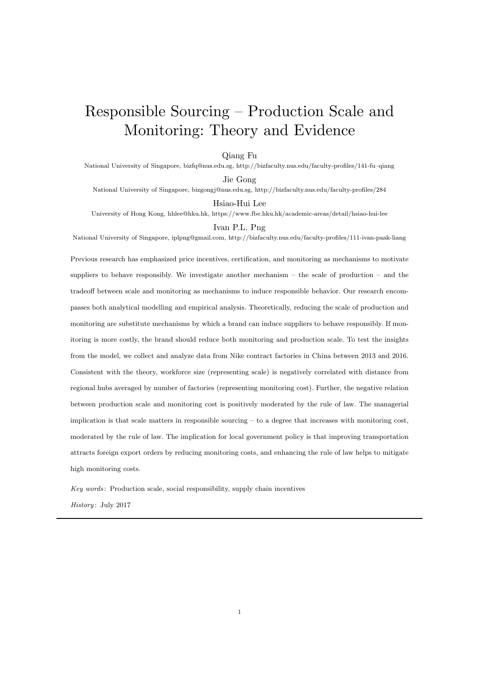# Responsible Sourcing – Production Scale and Monitoring: Theory and Evidence

#### Qiang Fu

National University of Singapore, bizfq@nus.edu.sg, http://bizfaculty.nus.edu/faculty-profiles/141-fu–qiang

Jie Gong

National University of Singapore, bizgongj@nus.edu.sg, http://bizfaculty.nus.edu/faculty-profiles/284

Hsiao-Hui Lee

University of Hong Kong, hhlee@hku.hk, https://www.fbe.hku.hk/academic-areas/detail/hsiao-hui-lee

#### Ivan P.L. Png

National University of Singapore, iplpng@gmail.com, http://bizfaculty.nus.edu/faculty-profiles/111-ivan-paak-liang

Previous research has emphasized price incentives, certification, and monitoring as mechanisms to motivate suppliers to behave responsibly. We investigate another mechanism – the scale of production – and the tradeoff between scale and monitoring as mechanisms to induce responsible behavior. Our research encompasses both analytical modelling and empirical analysis. Theoretically, reducing the scale of production and monitoring are substitute mechanisms by which a brand can induce suppliers to behave responsibly. If monitoring is more costly, the brand should reduce both monitoring and production scale. To test the insights from the model, we collect and analyze data from Nike contract factories in China between 2013 and 2016. Consistent with the theory, workforce size (representing scale) is negatively correlated with distance from regional hubs averaged by number of factories (representing monitoring cost). Further, the negative relation between production scale and monitoring cost is positively moderated by the rule of law. The managerial implication is that scale matters in responsible sourcing  $-$  to a degree that increases with monitoring cost, moderated by the rule of law. The implication for local government policy is that improving transportation attracts foreign export orders by reducing monitoring costs, and enhancing the rule of law helps to mitigate high monitoring costs.

*Key words* : Production scale, social responsibility, supply chain incentives

*History* : July 2017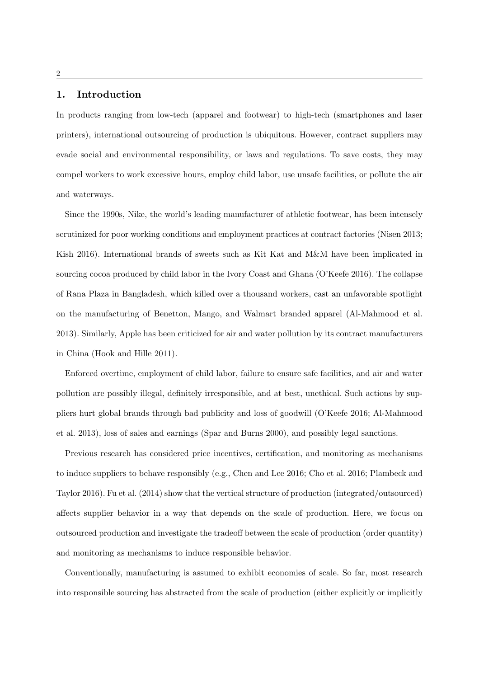#### 1. Introduction

In products ranging from low-tech (apparel and footwear) to high-tech (smartphones and laser printers), international outsourcing of production is ubiquitous. However, contract suppliers may evade social and environmental responsibility, or laws and regulations. To save costs, they may compel workers to work excessive hours, employ child labor, use unsafe facilities, or pollute the air and waterways.

Since the 1990s, Nike, the world's leading manufacturer of athletic footwear, has been intensely scrutinized for poor working conditions and employment practices at contract factories (Nisen 2013; Kish 2016). International brands of sweets such as Kit Kat and M&M have been implicated in sourcing cocoa produced by child labor in the Ivory Coast and Ghana (O'Keefe 2016). The collapse of Rana Plaza in Bangladesh, which killed over a thousand workers, cast an unfavorable spotlight on the manufacturing of Benetton, Mango, and Walmart branded apparel (Al-Mahmood et al. 2013). Similarly, Apple has been criticized for air and water pollution by its contract manufacturers in China (Hook and Hille 2011).

Enforced overtime, employment of child labor, failure to ensure safe facilities, and air and water pollution are possibly illegal, definitely irresponsible, and at best, unethical. Such actions by suppliers hurt global brands through bad publicity and loss of goodwill (O'Keefe 2016; Al-Mahmood et al. 2013), loss of sales and earnings (Spar and Burns 2000), and possibly legal sanctions.

Previous research has considered price incentives, certification, and monitoring as mechanisms to induce suppliers to behave responsibly (e.g., Chen and Lee 2016; Cho et al. 2016; Plambeck and Taylor 2016). Fu et al. (2014) show that the vertical structure of production (integrated/outsourced) affects supplier behavior in a way that depends on the scale of production. Here, we focus on outsourced production and investigate the tradeoff between the scale of production (order quantity) and monitoring as mechanisms to induce responsible behavior.

Conventionally, manufacturing is assumed to exhibit economies of scale. So far, most research into responsible sourcing has abstracted from the scale of production (either explicitly or implicitly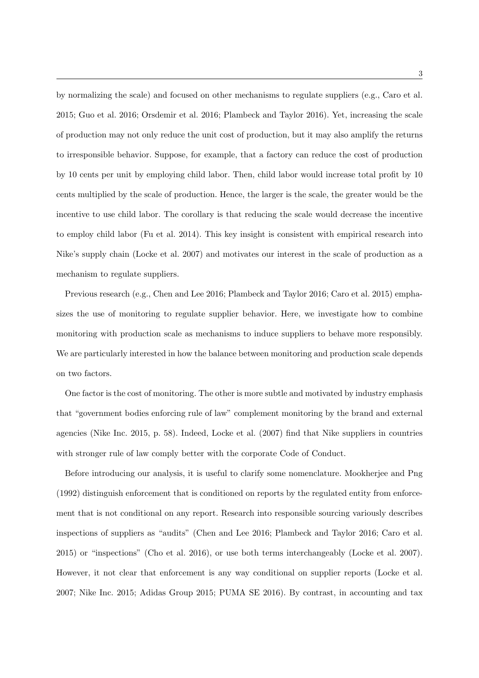by normalizing the scale) and focused on other mechanisms to regulate suppliers (e.g., Caro et al. 2015; Guo et al. 2016; Orsdemir et al. 2016; Plambeck and Taylor 2016). Yet, increasing the scale of production may not only reduce the unit cost of production, but it may also amplify the returns to irresponsible behavior. Suppose, for example, that a factory can reduce the cost of production by 10 cents per unit by employing child labor. Then, child labor would increase total profit by 10 cents multiplied by the scale of production. Hence, the larger is the scale, the greater would be the incentive to use child labor. The corollary is that reducing the scale would decrease the incentive to employ child labor (Fu et al. 2014). This key insight is consistent with empirical research into Nike's supply chain (Locke et al. 2007) and motivates our interest in the scale of production as a mechanism to regulate suppliers.

Previous research (e.g., Chen and Lee 2016; Plambeck and Taylor 2016; Caro et al. 2015) emphasizes the use of monitoring to regulate supplier behavior. Here, we investigate how to combine monitoring with production scale as mechanisms to induce suppliers to behave more responsibly. We are particularly interested in how the balance between monitoring and production scale depends on two factors.

One factor is the cost of monitoring. The other is more subtle and motivated by industry emphasis that "government bodies enforcing rule of law" complement monitoring by the brand and external agencies (Nike Inc. 2015, p. 58). Indeed, Locke et al. (2007) find that Nike suppliers in countries with stronger rule of law comply better with the corporate Code of Conduct.

Before introducing our analysis, it is useful to clarify some nomenclature. Mookherjee and Png (1992) distinguish enforcement that is conditioned on reports by the regulated entity from enforcement that is not conditional on any report. Research into responsible sourcing variously describes inspections of suppliers as "audits" (Chen and Lee 2016; Plambeck and Taylor 2016; Caro et al. 2015) or "inspections" (Cho et al. 2016), or use both terms interchangeably (Locke et al. 2007). However, it not clear that enforcement is any way conditional on supplier reports (Locke et al. 2007; Nike Inc. 2015; Adidas Group 2015; PUMA SE 2016). By contrast, in accounting and tax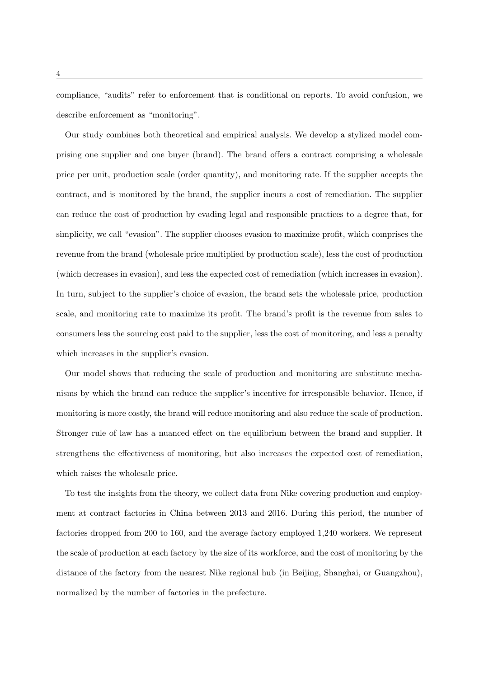compliance, "audits" refer to enforcement that is conditional on reports. To avoid confusion, we describe enforcement as "monitoring".

Our study combines both theoretical and empirical analysis. We develop a stylized model comprising one supplier and one buyer (brand). The brand offers a contract comprising a wholesale price per unit, production scale (order quantity), and monitoring rate. If the supplier accepts the contract, and is monitored by the brand, the supplier incurs a cost of remediation. The supplier can reduce the cost of production by evading legal and responsible practices to a degree that, for simplicity, we call "evasion". The supplier chooses evasion to maximize profit, which comprises the revenue from the brand (wholesale price multiplied by production scale), less the cost of production (which decreases in evasion), and less the expected cost of remediation (which increases in evasion). In turn, subject to the supplier's choice of evasion, the brand sets the wholesale price, production scale, and monitoring rate to maximize its profit. The brand's profit is the revenue from sales to consumers less the sourcing cost paid to the supplier, less the cost of monitoring, and less a penalty which increases in the supplier's evasion.

Our model shows that reducing the scale of production and monitoring are substitute mechanisms by which the brand can reduce the supplier's incentive for irresponsible behavior. Hence, if monitoring is more costly, the brand will reduce monitoring and also reduce the scale of production. Stronger rule of law has a nuanced effect on the equilibrium between the brand and supplier. It strengthens the effectiveness of monitoring, but also increases the expected cost of remediation, which raises the wholesale price.

To test the insights from the theory, we collect data from Nike covering production and employment at contract factories in China between 2013 and 2016. During this period, the number of factories dropped from 200 to 160, and the average factory employed 1,240 workers. We represent the scale of production at each factory by the size of its workforce, and the cost of monitoring by the distance of the factory from the nearest Nike regional hub (in Beijing, Shanghai, or Guangzhou), normalized by the number of factories in the prefecture.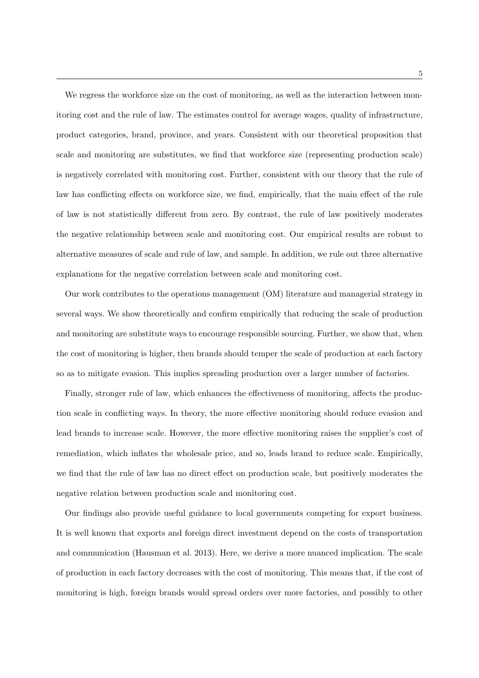We regress the workforce size on the cost of monitoring, as well as the interaction between monitoring cost and the rule of law. The estimates control for average wages, quality of infrastructure, product categories, brand, province, and years. Consistent with our theoretical proposition that scale and monitoring are substitutes, we find that workforce size (representing production scale) is negatively correlated with monitoring cost. Further, consistent with our theory that the rule of law has conflicting effects on workforce size, we find, empirically, that the main effect of the rule of law is not statistically different from zero. By contrast, the rule of law positively moderates the negative relationship between scale and monitoring cost. Our empirical results are robust to alternative measures of scale and rule of law, and sample. In addition, we rule out three alternative explanations for the negative correlation between scale and monitoring cost.

Our work contributes to the operations management (OM) literature and managerial strategy in several ways. We show theoretically and confirm empirically that reducing the scale of production and monitoring are substitute ways to encourage responsible sourcing. Further, we show that, when the cost of monitoring is higher, then brands should temper the scale of production at each factory so as to mitigate evasion. This implies spreading production over a larger number of factories.

Finally, stronger rule of law, which enhances the effectiveness of monitoring, affects the production scale in conflicting ways. In theory, the more effective monitoring should reduce evasion and lead brands to increase scale. However, the more effective monitoring raises the supplier's cost of remediation, which inflates the wholesale price, and so, leads brand to reduce scale. Empirically, we find that the rule of law has no direct effect on production scale, but positively moderates the negative relation between production scale and monitoring cost.

Our findings also provide useful guidance to local governments competing for export business. It is well known that exports and foreign direct investment depend on the costs of transportation and communication (Hausman et al. 2013). Here, we derive a more nuanced implication. The scale of production in each factory decreases with the cost of monitoring. This means that, if the cost of monitoring is high, foreign brands would spread orders over more factories, and possibly to other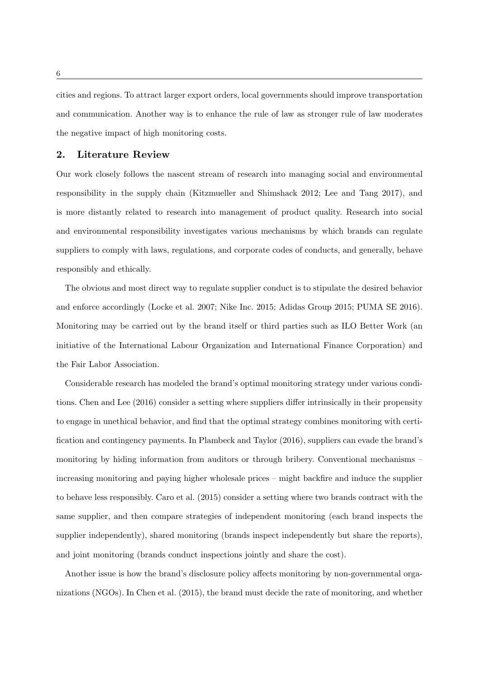cities and regions. To attract larger export orders, local governments should improve transportation and communication. Another way is to enhance the rule of law as stronger rule of law moderates the negative impact of high monitoring costs.

## 2. Literature Review

Our work closely follows the nascent stream of research into managing social and environmental responsibility in the supply chain (Kitzmueller and Shimshack 2012; Lee and Tang 2017), and is more distantly related to research into management of product quality. Research into social and environmental responsibility investigates various mechanisms by which brands can regulate suppliers to comply with laws, regulations, and corporate codes of conducts, and generally, behave responsibly and ethically.

The obvious and most direct way to regulate supplier conduct is to stipulate the desired behavior and enforce accordingly (Locke et al. 2007; Nike Inc. 2015; Adidas Group 2015; PUMA SE 2016). Monitoring may be carried out by the brand itself or third parties such as ILO Better Work (an initiative of the International Labour Organization and International Finance Corporation) and the Fair Labor Association.

Considerable research has modeled the brand's optimal monitoring strategy under various conditions. Chen and Lee (2016) consider a setting where suppliers differ intrinsically in their propensity to engage in unethical behavior, and find that the optimal strategy combines monitoring with certification and contingency payments. In Plambeck and Taylor (2016), suppliers can evade the brand's monitoring by hiding information from auditors or through bribery. Conventional mechanisms – increasing monitoring and paying higher wholesale prices – might backfire and induce the supplier to behave less responsibly. Caro et al. (2015) consider a setting where two brands contract with the same supplier, and then compare strategies of independent monitoring (each brand inspects the supplier independently), shared monitoring (brands inspect independently but share the reports), and joint monitoring (brands conduct inspections jointly and share the cost).

Another issue is how the brand's disclosure policy affects monitoring by non-governmental organizations (NGOs). In Chen et al. (2015), the brand must decide the rate of monitoring, and whether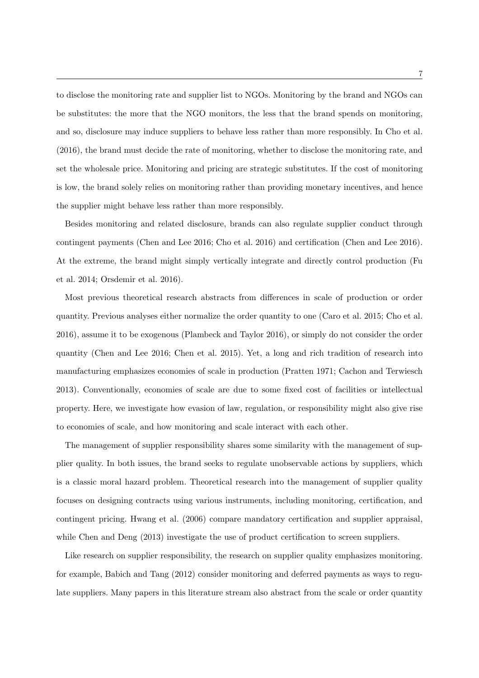to disclose the monitoring rate and supplier list to NGOs. Monitoring by the brand and NGOs can be substitutes: the more that the NGO monitors, the less that the brand spends on monitoring, and so, disclosure may induce suppliers to behave less rather than more responsibly. In Cho et al. (2016), the brand must decide the rate of monitoring, whether to disclose the monitoring rate, and set the wholesale price. Monitoring and pricing are strategic substitutes. If the cost of monitoring is low, the brand solely relies on monitoring rather than providing monetary incentives, and hence the supplier might behave less rather than more responsibly.

Besides monitoring and related disclosure, brands can also regulate supplier conduct through contingent payments (Chen and Lee 2016; Cho et al. 2016) and certification (Chen and Lee 2016). At the extreme, the brand might simply vertically integrate and directly control production (Fu et al. 2014; Orsdemir et al. 2016).

Most previous theoretical research abstracts from differences in scale of production or order quantity. Previous analyses either normalize the order quantity to one (Caro et al. 2015; Cho et al. 2016), assume it to be exogenous (Plambeck and Taylor 2016), or simply do not consider the order quantity (Chen and Lee 2016; Chen et al. 2015). Yet, a long and rich tradition of research into manufacturing emphasizes economies of scale in production (Pratten 1971; Cachon and Terwiesch 2013). Conventionally, economies of scale are due to some fixed cost of facilities or intellectual property. Here, we investigate how evasion of law, regulation, or responsibility might also give rise to economies of scale, and how monitoring and scale interact with each other.

The management of supplier responsibility shares some similarity with the management of supplier quality. In both issues, the brand seeks to regulate unobservable actions by suppliers, which is a classic moral hazard problem. Theoretical research into the management of supplier quality focuses on designing contracts using various instruments, including monitoring, certification, and contingent pricing. Hwang et al. (2006) compare mandatory certification and supplier appraisal, while Chen and Deng (2013) investigate the use of product certification to screen suppliers.

Like research on supplier responsibility, the research on supplier quality emphasizes monitoring. for example, Babich and Tang (2012) consider monitoring and deferred payments as ways to regulate suppliers. Many papers in this literature stream also abstract from the scale or order quantity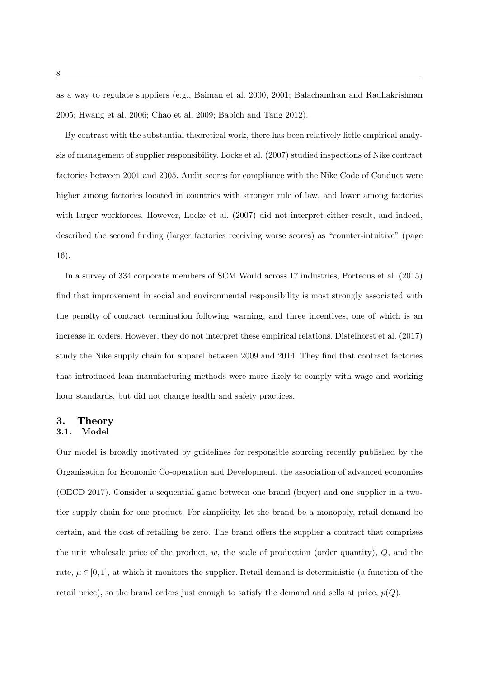as a way to regulate suppliers (e.g., Baiman et al. 2000, 2001; Balachandran and Radhakrishnan 2005; Hwang et al. 2006; Chao et al. 2009; Babich and Tang 2012).

By contrast with the substantial theoretical work, there has been relatively little empirical analysis of management of supplier responsibility. Locke et al. (2007) studied inspections of Nike contract factories between 2001 and 2005. Audit scores for compliance with the Nike Code of Conduct were higher among factories located in countries with stronger rule of law, and lower among factories with larger workforces. However, Locke et al. (2007) did not interpret either result, and indeed, described the second finding (larger factories receiving worse scores) as "counter-intuitive" (page 16).

In a survey of 334 corporate members of SCM World across 17 industries, Porteous et al. (2015) find that improvement in social and environmental responsibility is most strongly associated with the penalty of contract termination following warning, and three incentives, one of which is an increase in orders. However, they do not interpret these empirical relations. Distelhorst et al. (2017) study the Nike supply chain for apparel between 2009 and 2014. They find that contract factories that introduced lean manufacturing methods were more likely to comply with wage and working hour standards, but did not change health and safety practices.

# 3. Theory 3.1. Model

Our model is broadly motivated by guidelines for responsible sourcing recently published by the Organisation for Economic Co-operation and Development, the association of advanced economies (OECD 2017). Consider a sequential game between one brand (buyer) and one supplier in a twotier supply chain for one product. For simplicity, let the brand be a monopoly, retail demand be certain, and the cost of retailing be zero. The brand offers the supplier a contract that comprises the unit wholesale price of the product, *w*, the scale of production (order quantity), *Q*, and the rate,  $\mu \in [0,1]$ , at which it monitors the supplier. Retail demand is deterministic (a function of the retail price), so the brand orders just enough to satisfy the demand and sells at price,  $p(Q)$ .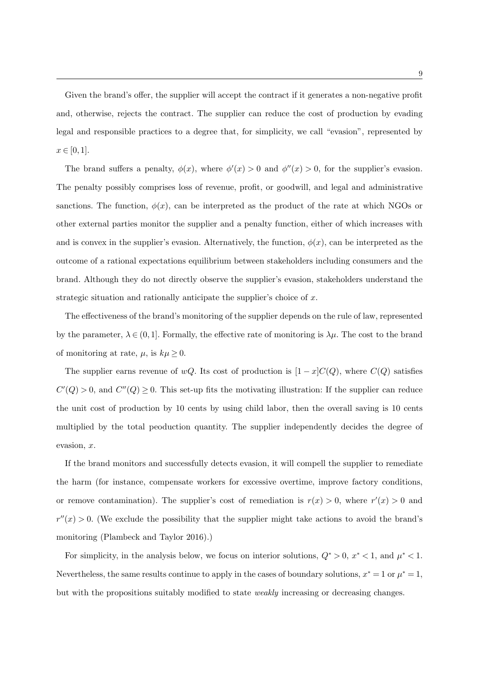Given the brand's offer, the supplier will accept the contract if it generates a non-negative profit and, otherwise, rejects the contract. The supplier can reduce the cost of production by evading legal and responsible practices to a degree that, for simplicity, we call "evasion", represented by  $x \in [0, 1].$ 

The brand suffers a penalty,  $\phi(x)$ , where  $\phi'(x) > 0$  and  $\phi''(x) > 0$ , for the supplier's evasion. The penalty possibly comprises loss of revenue, profit, or goodwill, and legal and administrative sanctions. The function,  $\phi(x)$ , can be interpreted as the product of the rate at which NGOs or other external parties monitor the supplier and a penalty function, either of which increases with and is convex in the supplier's evasion. Alternatively, the function,  $\phi(x)$ , can be interpreted as the outcome of a rational expectations equilibrium between stakeholders including consumers and the brand. Although they do not directly observe the supplier's evasion, stakeholders understand the strategic situation and rationally anticipate the supplier's choice of *x*.

The effectiveness of the brand's monitoring of the supplier depends on the rule of law, represented by the parameter,  $\lambda \in (0, 1]$ . Formally, the effective rate of monitoring is  $\lambda \mu$ . The cost to the brand of monitoring at rate,  $\mu$ , is  $k\mu \geq 0$ .

The supplier earns revenue of *wQ*. Its cost of production is  $[1 - x]C(Q)$ , where  $C(Q)$  satisfies  $C'(Q) > 0$ , and  $C''(Q) \geq 0$ . This set-up fits the motivating illustration: If the supplier can reduce the unit cost of production by 10 cents by using child labor, then the overall saving is 10 cents multiplied by the total peoduction quantity. The supplier independently decides the degree of evasion, *x*.

If the brand monitors and successfully detects evasion, it will compell the supplier to remediate the harm (for instance, compensate workers for excessive overtime, improve factory conditions, or remove contamination). The supplier's cost of remediation is  $r(x) > 0$ , where  $r'(x) > 0$  and  $r''(x) > 0$ . (We exclude the possibility that the supplier might take actions to avoid the brand's monitoring (Plambeck and Taylor 2016).)

For simplicity, in the analysis below, we focus on interior solutions,  $Q^* > 0$ ,  $x^* < 1$ , and  $\mu^* < 1$ . Nevertheless, the same results continue to apply in the cases of boundary solutions,  $x^* = 1$  or  $\mu^* = 1$ , but with the propositions suitably modified to state *weakly* increasing or decreasing changes.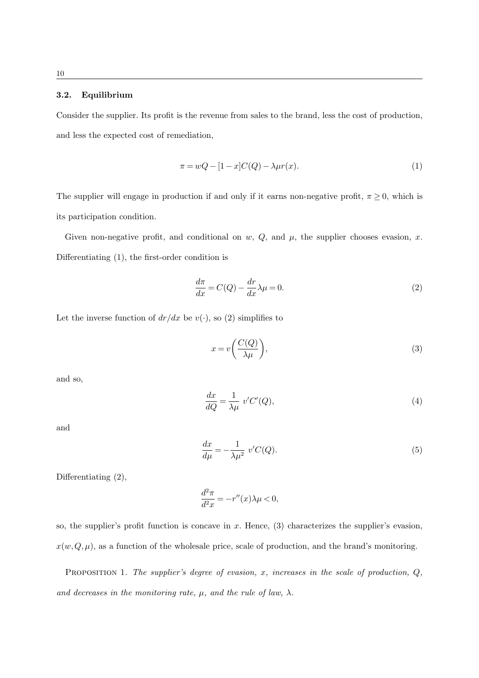#### 3.2. Equilibrium

Consider the supplier. Its profit is the revenue from sales to the brand, less the cost of production, and less the expected cost of remediation,

$$
\pi = wQ - [1 - x]C(Q) - \lambda \mu r(x). \tag{1}
$$

The supplier will engage in production if and only if it earns non-negative profit,  $\pi \geq 0$ , which is its participation condition.

Given non-negative profit, and conditional on  $w$ ,  $Q$ , and  $\mu$ , the supplier chooses evasion,  $x$ . Differentiating  $(1)$ , the first-order condition is

$$
\frac{d\pi}{dx} = C(Q) - \frac{dr}{dx}\lambda\mu = 0.
$$
\n(2)

Let the inverse function of  $dr/dx$  be  $v(\cdot)$ , so (2) simplifies to

$$
x = v\left(\frac{C(Q)}{\lambda \mu}\right),\tag{3}
$$

and so,

$$
\frac{dx}{dQ} = \frac{1}{\lambda \mu} \ v'C'(Q),\tag{4}
$$

and

$$
\frac{dx}{d\mu} = -\frac{1}{\lambda \mu^2} \ v'C(Q). \tag{5}
$$

Differentiating  $(2)$ ,

$$
\frac{d^2\pi}{d^2x} = -r''(x)\lambda\mu < 0,
$$

so, the supplier's profit function is concave in *x*. Hence, (3) characterizes the supplier's evasion,  $x(w, Q, \mu)$ , as a function of the wholesale price, scale of production, and the brand's monitoring.

Proposition 1. *The supplier's degree of evasion, x, increases in the scale of production, Q,* and decreases in the monitoring rate,  $\mu$ , and the rule of law,  $\lambda$ .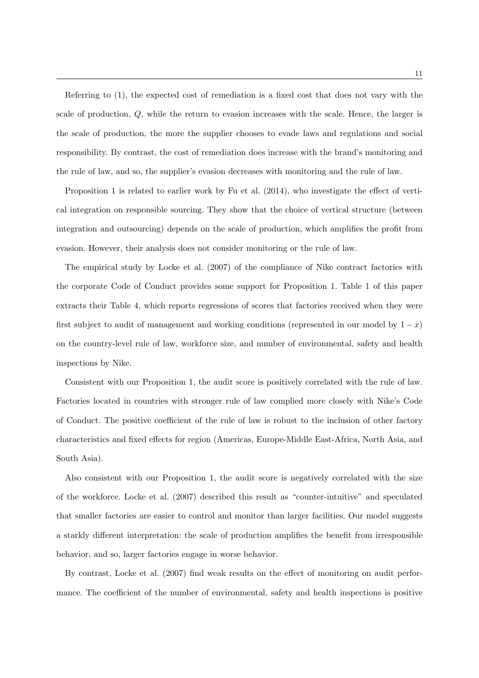Referring to (1), the expected cost of remediation is a fixed cost that does not vary with the scale of production, *Q*, while the return to evasion increases with the scale. Hence, the larger is the scale of production, the more the supplier chooses to evade laws and regulations and social responsibility. By contrast, the cost of remediation does increase with the brand's monitoring and the rule of law, and so, the supplier's evasion decreases with monitoring and the rule of law.

Proposition 1 is related to earlier work by Fu et al.  $(2014)$ , who investigate the effect of vertical integration on responsible sourcing. They show that the choice of vertical structure (between integration and outsourcing) depends on the scale of production, which amplifies the profit from evasion. However, their analysis does not consider monitoring or the rule of law.

The empirical study by Locke et al. (2007) of the compliance of Nike contract factories with the corporate Code of Conduct provides some support for Proposition 1. Table 1 of this paper extracts their Table 4, which reports regressions of scores that factories received when they were first subject to audit of management and working conditions (represented in our model by  $1-x$ ) on the country-level rule of law, workforce size, and number of environmental, safety and health inspections by Nike.

Consistent with our Proposition 1, the audit score is positively correlated with the rule of law. Factories located in countries with stronger rule of law complied more closely with Nike's Code of Conduct. The positive coefficient of the rule of law is robust to the inclusion of other factory characteristics and fixed effects for region (Americas, Europe-Middle East-Africa, North Asia, and South Asia).

Also consistent with our Proposition 1, the audit score is negatively correlated with the size of the workforce. Locke et al. (2007) described this result as "counter-intuitive" and speculated that smaller factories are easier to control and monitor than larger facilities. Our model suggests a starkly different interpretation: the scale of production amplifies the benefit from irresponsible behavior, and so, larger factories engage in worse behavior.

By contrast, Locke et al. (2007) find weak results on the effect of monitoring on audit performance. The coefficient of the number of environmental, safety and health inspections is positive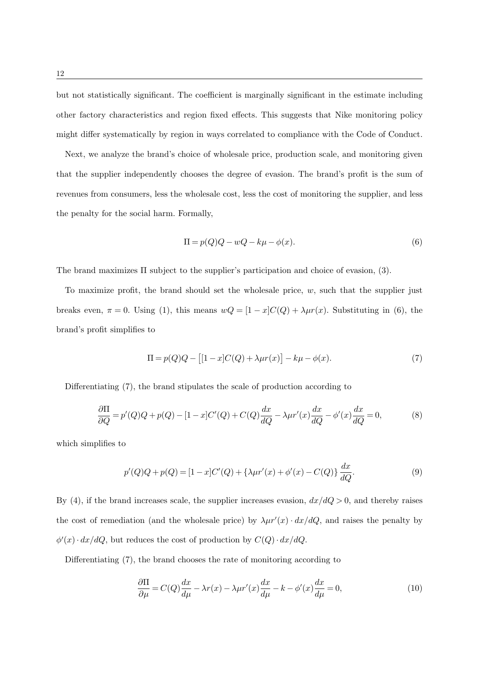but not statistically significant. The coefficient is marginally significant in the estimate including other factory characteristics and region fixed effects. This suggests that Nike monitoring policy might differ systematically by region in ways correlated to compliance with the Code of Conduct.

Next, we analyze the brand's choice of wholesale price, production scale, and monitoring given that the supplier independently chooses the degree of evasion. The brand's profit is the sum of revenues from consumers, less the wholesale cost, less the cost of monitoring the supplier, and less the penalty for the social harm. Formally,

$$
\Pi = p(Q)Q - wQ - k\mu - \phi(x). \tag{6}
$$

The brand maximizes  $\Pi$  subject to the supplier's participation and choice of evasion, (3).

To maximize profit, the brand should set the wholesale price, *w*, such that the supplier just breaks even,  $\pi = 0$ . Using (1), this means  $wQ = [1 - x]C(Q) + \lambda \mu r(x)$ . Substituting in (6), the brand's profit simplifies to

$$
\Pi = p(Q)Q - \left[ [1-x]C(Q) + \lambda\mu r(x) \right] - k\mu - \phi(x). \tag{7}
$$

Differentiating  $(7)$ , the brand stipulates the scale of production according to

$$
\frac{\partial \Pi}{\partial Q} = p'(Q)Q + p(Q) - [1 - x]C'(Q) + C(Q)\frac{dx}{dQ} - \lambda\mu r'(x)\frac{dx}{dQ} - \phi'(x)\frac{dx}{dQ} = 0,\tag{8}
$$

which simplifies to

$$
p'(Q)Q + p(Q) = [1 - x]C'(Q) + {\lambda\mu r'(x) + \phi'(x) - C(Q)}\frac{dx}{dQ}.
$$
\n(9)

By (4), if the brand increases scale, the supplier increases evasion, *dx/dQ >* 0, and thereby raises the cost of remediation (and the wholesale price) by  $\lambda \mu r'(x) \cdot dx/dQ$ , and raises the penalty by  $\phi'(x) \cdot dx/dQ$ , but reduces the cost of production by  $C(Q) \cdot dx/dQ$ .

Differentiating  $(7)$ , the brand chooses the rate of monitoring according to

$$
\frac{\partial \Pi}{\partial \mu} = C(Q) \frac{dx}{d\mu} - \lambda r(x) - \lambda \mu r'(x) \frac{dx}{d\mu} - k - \phi'(x) \frac{dx}{d\mu} = 0,
$$
\n(10)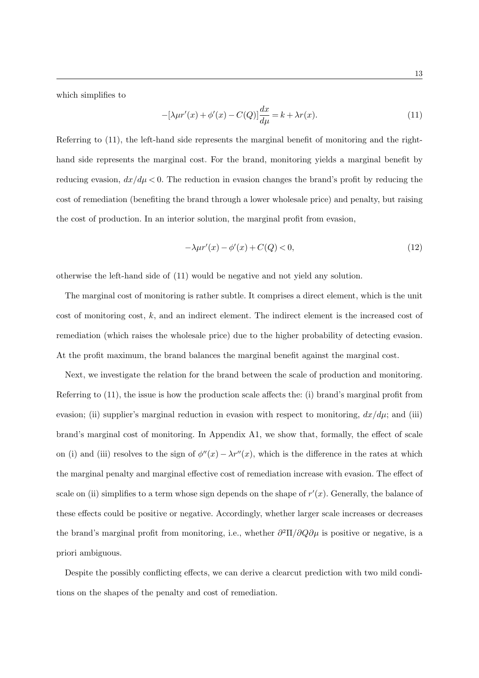which simplifies to

$$
-[\lambda\mu r'(x) + \phi'(x) - C(Q)]\frac{dx}{d\mu} = k + \lambda r(x). \tag{11}
$$

Referring to (11), the left-hand side represents the marginal benefit of monitoring and the righthand side represents the marginal cost. For the brand, monitoring yields a marginal benefit by reducing evasion,  $dx/d\mu < 0$ . The reduction in evasion changes the brand's profit by reducing the cost of remediation (benefiting the brand through a lower wholesale price) and penalty, but raising the cost of production. In an interior solution, the marginal profit from evasion,

$$
-\lambda \mu r'(x) - \phi'(x) + C(Q) < 0,\tag{12}
$$

otherwise the left-hand side of (11) would be negative and not yield any solution.

The marginal cost of monitoring is rather subtle. It comprises a direct element, which is the unit cost of monitoring cost, *k*, and an indirect element. The indirect element is the increased cost of remediation (which raises the wholesale price) due to the higher probability of detecting evasion. At the profit maximum, the brand balances the marginal benefit against the marginal cost.

Next, we investigate the relation for the brand between the scale of production and monitoring. Referring to  $(11)$ , the issue is how the production scale affects the: (i) brand's marginal profit from evasion; (ii) supplier's marginal reduction in evasion with respect to monitoring,  $dx/d\mu$ ; and (iii) brand's marginal cost of monitoring. In Appendix A1, we show that, formally, the effect of scale on (i) and (iii) resolves to the sign of  $\phi''(x) - \lambda r''(x)$ , which is the difference in the rates at which the marginal penalty and marginal effective cost of remediation increase with evasion. The effect of scale on (ii) simplifies to a term whose sign depends on the shape of  $r'(x)$ . Generally, the balance of these effects could be positive or negative. Accordingly, whether larger scale increases or decreases the brand's marginal profit from monitoring, i.e., whether  $\partial^2\Pi/\partial Q\partial \mu$  is positive or negative, is a priori ambiguous.

Despite the possibly conflicting effects, we can derive a clearcut prediction with two mild conditions on the shapes of the penalty and cost of remediation.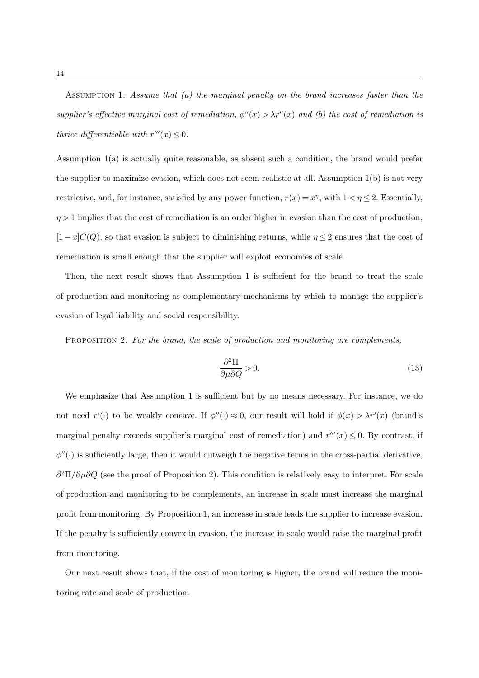Assumption 1. *Assume that (a) the marginal penalty on the brand increases faster than the supplier's effective marginal cost of remediation,*  $\phi''(x) > \lambda r''(x)$  and (b) the cost of remediation is *thrice differentiable with*  $r'''(x) \leq 0$ *.* 

Assumption 1(a) is actually quite reasonable, as absent such a condition, the brand would prefer the supplier to maximize evasion, which does not seem realistic at all. Assumption 1(b) is not very restrictive, and, for instance, satisfied by any power function,  $r(x) = x^{\eta}$ , with  $1 < \eta \leq 2$ . Essentially,  $\eta$  > 1 implies that the cost of remediation is an order higher in evasion than the cost of production,  $[1-x]C(Q)$ , so that evasion is subject to diminishing returns, while  $\eta \leq 2$  ensures that the cost of remediation is small enough that the supplier will exploit economies of scale.

Then, the next result shows that Assumption 1 is sufficient for the brand to treat the scale of production and monitoring as complementary mechanisms by which to manage the supplier's evasion of legal liability and social responsibility.

PROPOSITION 2. For the brand, the scale of production and monitoring are complements,

$$
\frac{\partial^2 \Pi}{\partial \mu \partial Q} > 0. \tag{13}
$$

We emphasize that Assumption 1 is sufficient but by no means necessary. For instance, we do not need  $r'(\cdot)$  to be weakly concave. If  $\phi''(\cdot) \approx 0$ , our result will hold if  $\phi(x) > \lambda r'(x)$  (brand's marginal penalty exceeds supplier's marginal cost of remediation) and  $r'''(x) \leq 0$ . By contrast, if  $\phi''(\cdot)$  is sufficiently large, then it would outweigh the negative terms in the cross-partial derivative,  $\partial^2\Pi/\partial\mu\partial Q$  (see the proof of Proposition 2). This condition is relatively easy to interpret. For scale of production and monitoring to be complements, an increase in scale must increase the marginal profit from monitoring. By Proposition 1, an increase in scale leads the supplier to increase evasion. If the penalty is sufficiently convex in evasion, the increase in scale would raise the marginal profit from monitoring.

Our next result shows that, if the cost of monitoring is higher, the brand will reduce the monitoring rate and scale of production.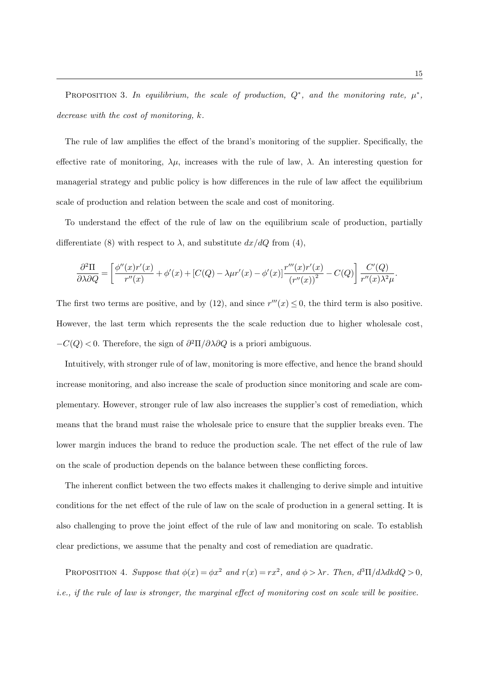PROPOSITION 3. In equilibrium, the scale of production,  $Q^*$ , and the monitoring rate,  $\mu^*$ , *decrease with the cost of monitoring, k.*

The rule of law amplifies the effect of the brand's monitoring of the supplier. Specifically, the effective rate of monitoring,  $\lambda \mu$ , increases with the rule of law,  $\lambda$ . An interesting question for managerial strategy and public policy is how differences in the rule of law affect the equilibrium scale of production and relation between the scale and cost of monitoring.

To understand the effect of the rule of law on the equilibrium scale of production, partially differentiate (8) with respect to  $\lambda$ , and substitute  $dx/dQ$  from (4),

$$
\frac{\partial^2 \Pi}{\partial \lambda \partial Q} = \left[ \frac{\phi^{\prime\prime}(x) r^\prime(x)}{r^{\prime\prime}(x)} + \phi^{\prime}(x) + [C(Q) - \lambda \mu r^\prime(x) - \phi^{\prime}(x)] \frac{r^{\prime\prime\prime}(x) r^\prime(x)}{\left(r^{\prime\prime}(x)\right)^2} - C(Q) \right] \frac{C^\prime(Q)}{r^{\prime\prime}(x) \lambda^2 \mu}.
$$

The first two terms are positive, and by (12), and since  $r'''(x) \le 0$ , the third term is also positive. However, the last term which represents the the scale reduction due to higher wholesale cost,  $-C(Q) < 0$ . Therefore, the sign of  $\partial^2 \Pi / \partial \lambda \partial Q$  is a priori ambiguous.

Intuitively, with stronger rule of of law, monitoring is more effective, and hence the brand should increase monitoring, and also increase the scale of production since monitoring and scale are complementary. However, stronger rule of law also increases the supplier's cost of remediation, which means that the brand must raise the wholesale price to ensure that the supplier breaks even. The lower margin induces the brand to reduce the production scale. The net effect of the rule of law on the scale of production depends on the balance between these conflicting forces.

The inherent conflict between the two effects makes it challenging to derive simple and intuitive conditions for the net effect of the rule of law on the scale of production in a general setting. It is also challenging to prove the joint effect of the rule of law and monitoring on scale. To establish clear predictions, we assume that the penalty and cost of remediation are quadratic.

PROPOSITION 4. Suppose that  $\phi(x) = \phi x^2$  and  $r(x) = rx^2$ , and  $\phi > \lambda r$ . Then,  $d^3\Pi/d\lambda dk dQ > 0$ , *i.e., if the rule of law is stronger, the marginal effect of monitoring cost on scale will be positive.*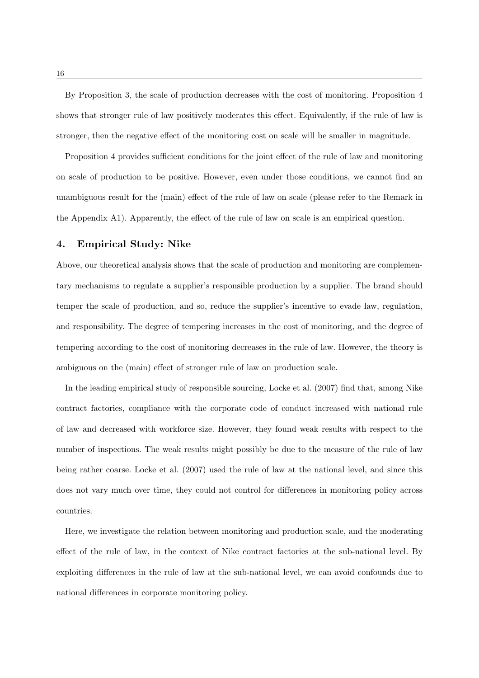By Proposition 3, the scale of production decreases with the cost of monitoring. Proposition 4 shows that stronger rule of law positively moderates this effect. Equivalently, if the rule of law is stronger, then the negative effect of the monitoring cost on scale will be smaller in magnitude.

Proposition 4 provides sufficient conditions for the joint effect of the rule of law and monitoring on scale of production to be positive. However, even under those conditions, we cannot find an unambiguous result for the (main) effect of the rule of law on scale (please refer to the Remark in the Appendix A1). Apparently, the effect of the rule of law on scale is an empirical question.

# 4. Empirical Study: Nike

Above, our theoretical analysis shows that the scale of production and monitoring are complementary mechanisms to regulate a supplier's responsible production by a supplier. The brand should temper the scale of production, and so, reduce the supplier's incentive to evade law, regulation, and responsibility. The degree of tempering increases in the cost of monitoring, and the degree of tempering according to the cost of monitoring decreases in the rule of law. However, the theory is ambiguous on the (main) effect of stronger rule of law on production scale.

In the leading empirical study of responsible sourcing, Locke et al. (2007) find that, among Nike contract factories, compliance with the corporate code of conduct increased with national rule of law and decreased with workforce size. However, they found weak results with respect to the number of inspections. The weak results might possibly be due to the measure of the rule of law being rather coarse. Locke et al. (2007) used the rule of law at the national level, and since this does not vary much over time, they could not control for differences in monitoring policy across countries.

Here, we investigate the relation between monitoring and production scale, and the moderating effect of the rule of law, in the context of Nike contract factories at the sub-national level. By exploiting differences in the rule of law at the sub-national level, we can avoid confounds due to national differences in corporate monitoring policy.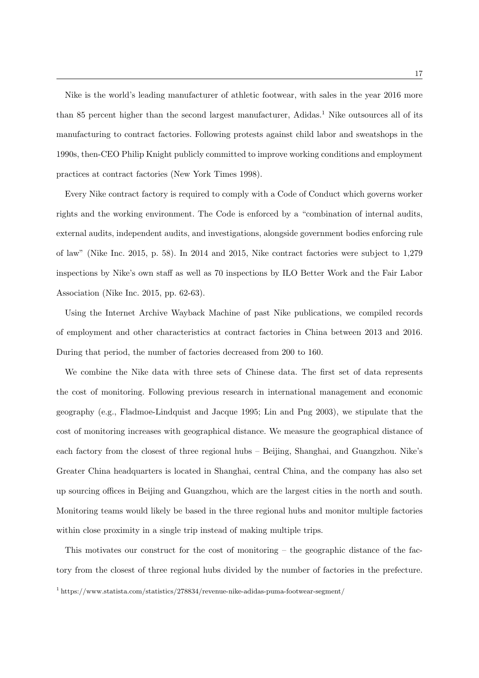Nike is the world's leading manufacturer of athletic footwear, with sales in the year 2016 more than 85 percent higher than the second largest manufacturer, Adidas.<sup>1</sup> Nike outsources all of its manufacturing to contract factories. Following protests against child labor and sweatshops in the 1990s, then-CEO Philip Knight publicly committed to improve working conditions and employment practices at contract factories (New York Times 1998).

Every Nike contract factory is required to comply with a Code of Conduct which governs worker rights and the working environment. The Code is enforced by a "combination of internal audits, external audits, independent audits, and investigations, alongside government bodies enforcing rule of law" (Nike Inc. 2015, p. 58). In 2014 and 2015, Nike contract factories were subject to 1,279 inspections by Nike's own staff as well as 70 inspections by ILO Better Work and the Fair Labor Association (Nike Inc. 2015, pp. 62-63).

Using the Internet Archive Wayback Machine of past Nike publications, we compiled records of employment and other characteristics at contract factories in China between 2013 and 2016. During that period, the number of factories decreased from 200 to 160.

We combine the Nike data with three sets of Chinese data. The first set of data represents the cost of monitoring. Following previous research in international management and economic geography (e.g., Fladmoe-Lindquist and Jacque 1995; Lin and Png 2003), we stipulate that the cost of monitoring increases with geographical distance. We measure the geographical distance of each factory from the closest of three regional hubs – Beijing, Shanghai, and Guangzhou. Nike's Greater China headquarters is located in Shanghai, central China, and the company has also set up sourcing offices in Beijing and Guangzhou, which are the largest cities in the north and south. Monitoring teams would likely be based in the three regional hubs and monitor multiple factories within close proximity in a single trip instead of making multiple trips.

This motivates our construct for the cost of monitoring – the geographic distance of the factory from the closest of three regional hubs divided by the number of factories in the prefecture.

<sup>1</sup> https://www.statista.com/statistics/278834/revenue-nike-adidas-puma-footwear-segment/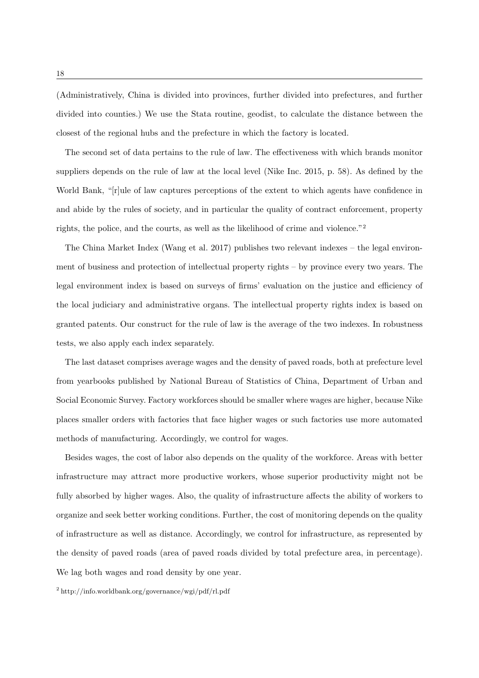(Administratively, China is divided into provinces, further divided into prefectures, and further divided into counties.) We use the Stata routine, geodist, to calculate the distance between the closest of the regional hubs and the prefecture in which the factory is located.

The second set of data pertains to the rule of law. The effectiveness with which brands monitor suppliers depends on the rule of law at the local level (Nike Inc. 2015, p. 58). As defined by the World Bank, "[r]ule of law captures perceptions of the extent to which agents have confidence in and abide by the rules of society, and in particular the quality of contract enforcement, property rights, the police, and the courts, as well as the likelihood of crime and violence."<sup>2</sup>

The China Market Index (Wang et al. 2017) publishes two relevant indexes – the legal environment of business and protection of intellectual property rights – by province every two years. The legal environment index is based on surveys of firms' evaluation on the justice and efficiency of the local judiciary and administrative organs. The intellectual property rights index is based on granted patents. Our construct for the rule of law is the average of the two indexes. In robustness tests, we also apply each index separately.

The last dataset comprises average wages and the density of paved roads, both at prefecture level from yearbooks published by National Bureau of Statistics of China, Department of Urban and Social Economic Survey. Factory workforces should be smaller where wages are higher, because Nike places smaller orders with factories that face higher wages or such factories use more automated methods of manufacturing. Accordingly, we control for wages.

Besides wages, the cost of labor also depends on the quality of the workforce. Areas with better infrastructure may attract more productive workers, whose superior productivity might not be fully absorbed by higher wages. Also, the quality of infrastructure affects the ability of workers to organize and seek better working conditions. Further, the cost of monitoring depends on the quality of infrastructure as well as distance. Accordingly, we control for infrastructure, as represented by the density of paved roads (area of paved roads divided by total prefecture area, in percentage). We lag both wages and road density by one year.

<sup>2</sup> http://info.worldbank.org/governance/wgi/pdf/rl.pdf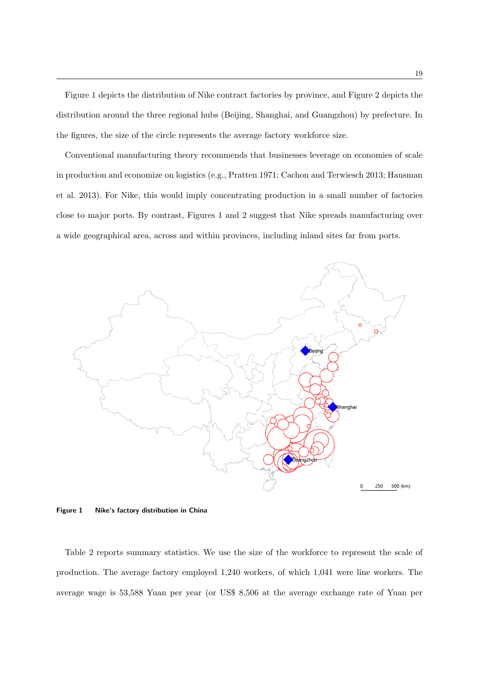Figure 1 depicts the distribution of Nike contract factories by province, and Figure 2 depicts the distribution around the three regional hubs (Beijing, Shanghai, and Guangzhou) by prefecture. In the figures, the size of the circle represents the average factory workforce size.

Conventional manufacturing theory recommends that businesses leverage on economies of scale in production and economize on logistics (e.g., Pratten 1971; Cachon and Terwiesch 2013; Hausman et al. 2013). For Nike, this would imply concentrating production in a small number of factories close to major ports. By contrast, Figures 1 and 2 suggest that Nike spreads manufacturing over a wide geographical area, across and within provinces, including inland sites far from ports.



Figure 1 Nike's factory distribution in China

Table 2 reports summary statistics. We use the size of the workforce to represent the scale of production. The average factory employed 1,240 workers, of which 1,041 were line workers. The average wage is 53,588 Yuan per year (or US\$ 8,506 at the average exchange rate of Yuan per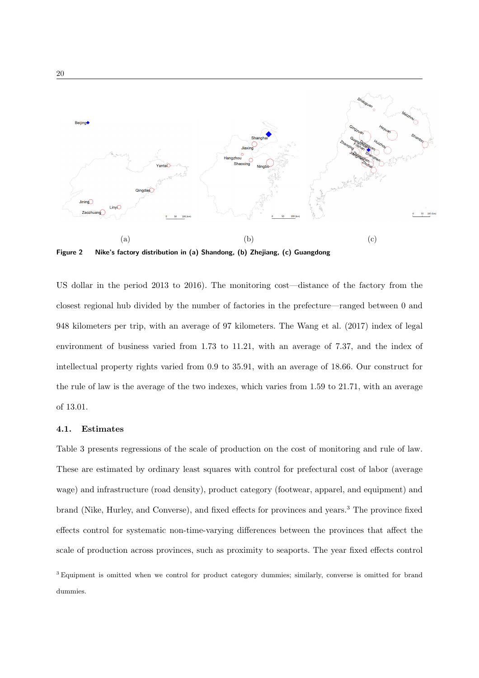

Figure 2 Nike's factory distribution in (a) Shandong, (b) Zhejiang, (c) Guangdong

US dollar in the period 2013 to 2016). The monitoring cost—distance of the factory from the closest regional hub divided by the number of factories in the prefecture—ranged between 0 and 948 kilometers per trip, with an average of 97 kilometers. The Wang et al. (2017) index of legal environment of business varied from 1.73 to 11.21, with an average of 7.37, and the index of intellectual property rights varied from 0.9 to 35.91, with an average of 18.66. Our construct for the rule of law is the average of the two indexes, which varies from 1.59 to 21.71, with an average of 13.01.

#### 4.1. Estimates

Table 3 presents regressions of the scale of production on the cost of monitoring and rule of law. These are estimated by ordinary least squares with control for prefectural cost of labor (average wage) and infrastructure (road density), product category (footwear, apparel, and equipment) and brand (Nike, Hurley, and Converse), and fixed effects for provinces and years.<sup>3</sup> The province fixed effects control for systematic non-time-varying differences between the provinces that affect the scale of production across provinces, such as proximity to seaports. The year fixed effects control

<sup>3</sup> Equipment is omitted when we control for product category dummies; similarly, converse is omitted for brand dummies.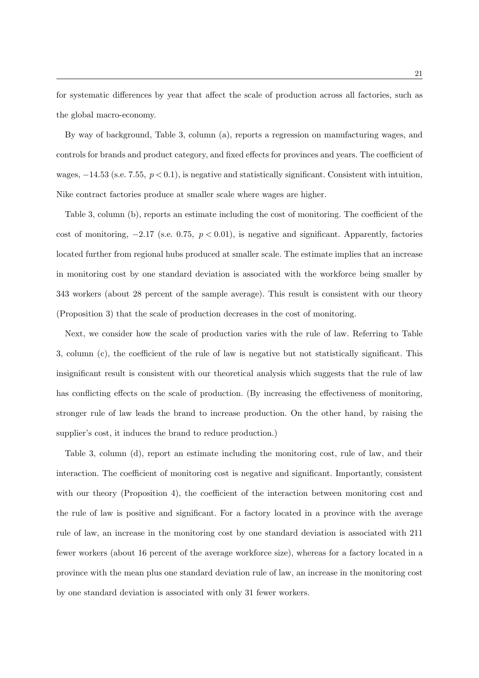for systematic differences by year that affect the scale of production across all factories, such as the global macro-economy.

By way of background, Table 3, column (a), reports a regression on manufacturing wages, and controls for brands and product category, and fixed effects for provinces and years. The coefficient of wages,  $-14.53$  (s.e. 7.55*, p* < 0.1), is negative and statistically significant. Consistent with intuition, Nike contract factories produce at smaller scale where wages are higher.

Table 3, column  $(b)$ , reports an estimate including the cost of monitoring. The coefficient of the cost of monitoring,  $-2.17$  (s.e. 0.75*,*  $p < 0.01$ *)*, is negative and significant. Apparently, factories located further from regional hubs produced at smaller scale. The estimate implies that an increase in monitoring cost by one standard deviation is associated with the workforce being smaller by 343 workers (about 28 percent of the sample average). This result is consistent with our theory (Proposition 3) that the scale of production decreases in the cost of monitoring.

Next, we consider how the scale of production varies with the rule of law. Referring to Table 3, column (c), the coefficient of the rule of law is negative but not statistically significant. This insignificant result is consistent with our theoretical analysis which suggests that the rule of law has conflicting effects on the scale of production. (By increasing the effectiveness of monitoring, stronger rule of law leads the brand to increase production. On the other hand, by raising the supplier's cost, it induces the brand to reduce production.)

Table 3, column (d), report an estimate including the monitoring cost, rule of law, and their interaction. The coefficient of monitoring cost is negative and significant. Importantly, consistent with our theory (Proposition 4), the coefficient of the interaction between monitoring cost and the rule of law is positive and significant. For a factory located in a province with the average rule of law, an increase in the monitoring cost by one standard deviation is associated with 211 fewer workers (about 16 percent of the average workforce size), whereas for a factory located in a province with the mean plus one standard deviation rule of law, an increase in the monitoring cost by one standard deviation is associated with only 31 fewer workers.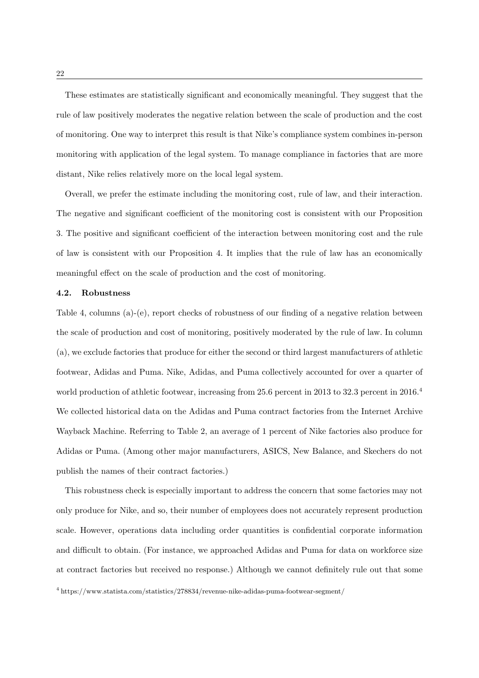These estimates are statistically significant and economically meaningful. They suggest that the rule of law positively moderates the negative relation between the scale of production and the cost of monitoring. One way to interpret this result is that Nike's compliance system combines in-person monitoring with application of the legal system. To manage compliance in factories that are more distant, Nike relies relatively more on the local legal system.

Overall, we prefer the estimate including the monitoring cost, rule of law, and their interaction. The negative and significant coefficient of the monitoring cost is consistent with our Proposition 3. The positive and significant coefficient of the interaction between monitoring cost and the rule of law is consistent with our Proposition 4. It implies that the rule of law has an economically meaningful effect on the scale of production and the cost of monitoring.

#### 4.2. Robustness

Table 4, columns (a)-(e), report checks of robustness of our finding of a negative relation between the scale of production and cost of monitoring, positively moderated by the rule of law. In column (a), we exclude factories that produce for either the second or third largest manufacturers of athletic footwear, Adidas and Puma. Nike, Adidas, and Puma collectively accounted for over a quarter of world production of athletic footwear, increasing from 25.6 percent in 2013 to 32.3 percent in 2016.<sup>4</sup> We collected historical data on the Adidas and Puma contract factories from the Internet Archive Wayback Machine. Referring to Table 2, an average of 1 percent of Nike factories also produce for Adidas or Puma. (Among other major manufacturers, ASICS, New Balance, and Skechers do not publish the names of their contract factories.)

This robustness check is especially important to address the concern that some factories may not only produce for Nike, and so, their number of employees does not accurately represent production scale. However, operations data including order quantities is confidential corporate information and difficult to obtain. (For instance, we approached Adidas and Puma for data on workforce size at contract factories but received no response.) Although we cannot definitely rule out that some

<sup>4</sup> https://www.statista.com/statistics/278834/revenue-nike-adidas-puma-footwear-segment/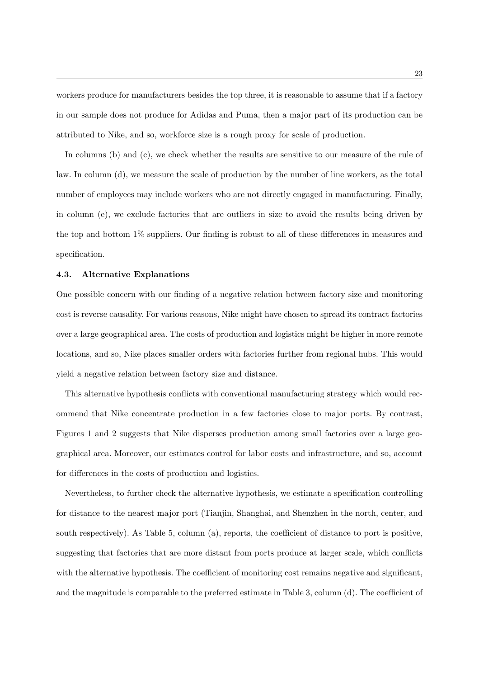workers produce for manufacturers besides the top three, it is reasonable to assume that if a factory in our sample does not produce for Adidas and Puma, then a major part of its production can be attributed to Nike, and so, workforce size is a rough proxy for scale of production.

In columns (b) and (c), we check whether the results are sensitive to our measure of the rule of law. In column (d), we measure the scale of production by the number of line workers, as the total number of employees may include workers who are not directly engaged in manufacturing. Finally, in column (e), we exclude factories that are outliers in size to avoid the results being driven by the top and bottom  $1\%$  suppliers. Our finding is robust to all of these differences in measures and specification.

#### 4.3. Alternative Explanations

One possible concern with our finding of a negative relation between factory size and monitoring cost is reverse causality. For various reasons, Nike might have chosen to spread its contract factories over a large geographical area. The costs of production and logistics might be higher in more remote locations, and so, Nike places smaller orders with factories further from regional hubs. This would yield a negative relation between factory size and distance.

This alternative hypothesis conflicts with conventional manufacturing strategy which would recommend that Nike concentrate production in a few factories close to major ports. By contrast, Figures 1 and 2 suggests that Nike disperses production among small factories over a large geographical area. Moreover, our estimates control for labor costs and infrastructure, and so, account for differences in the costs of production and logistics.

Nevertheless, to further check the alternative hypothesis, we estimate a specification controlling for distance to the nearest major port (Tianjin, Shanghai, and Shenzhen in the north, center, and south respectively). As Table 5, column  $(a)$ , reports, the coefficient of distance to port is positive, suggesting that factories that are more distant from ports produce at larger scale, which conflicts with the alternative hypothesis. The coefficient of monitoring cost remains negative and significant, and the magnitude is comparable to the preferred estimate in Table 3, column  $(d)$ . The coefficient of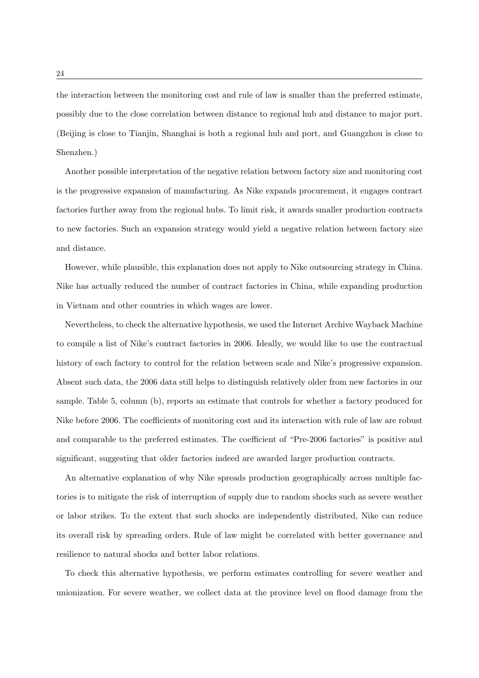the interaction between the monitoring cost and rule of law is smaller than the preferred estimate, possibly due to the close correlation between distance to regional hub and distance to major port. (Beijing is close to Tianjin, Shanghai is both a regional hub and port, and Guangzhou is close to Shenzhen.)

Another possible interpretation of the negative relation between factory size and monitoring cost is the progressive expansion of manufacturing. As Nike expands procurement, it engages contract factories further away from the regional hubs. To limit risk, it awards smaller production contracts to new factories. Such an expansion strategy would yield a negative relation between factory size and distance.

However, while plausible, this explanation does not apply to Nike outsourcing strategy in China. Nike has actually reduced the number of contract factories in China, while expanding production in Vietnam and other countries in which wages are lower.

Nevertheless, to check the alternative hypothesis, we used the Internet Archive Wayback Machine to compile a list of Nike's contract factories in 2006. Ideally, we would like to use the contractual history of each factory to control for the relation between scale and Nike's progressive expansion. Absent such data, the 2006 data still helps to distinguish relatively older from new factories in our sample. Table 5, column (b), reports an estimate that controls for whether a factory produced for Nike before 2006. The coefficients of monitoring cost and its interaction with rule of law are robust and comparable to the preferred estimates. The coefficient of "Pre-2006 factories" is positive and significant, suggesting that older factories indeed are awarded larger production contracts.

An alternative explanation of why Nike spreads production geographically across multiple factories is to mitigate the risk of interruption of supply due to random shocks such as severe weather or labor strikes. To the extent that such shocks are independently distributed, Nike can reduce its overall risk by spreading orders. Rule of law might be correlated with better governance and resilience to natural shocks and better labor relations.

To check this alternative hypothesis, we perform estimates controlling for severe weather and unionization. For severe weather, we collect data at the province level on flood damage from the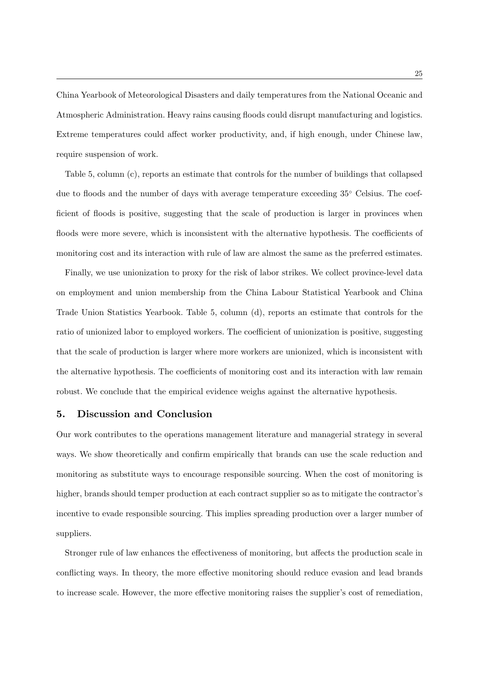China Yearbook of Meteorological Disasters and daily temperatures from the National Oceanic and Atmospheric Administration. Heavy rains causing floods could disrupt manufacturing and logistics. Extreme temperatures could affect worker productivity, and, if high enough, under Chinese law, require suspension of work.

Table 5, column (c), reports an estimate that controls for the number of buildings that collapsed due to floods and the number of days with average temperature exceeding 35<sup>°</sup> Celsius. The coefficient of floods is positive, suggesting that the scale of production is larger in provinces when floods were more severe, which is inconsistent with the alternative hypothesis. The coefficients of monitoring cost and its interaction with rule of law are almost the same as the preferred estimates.

Finally, we use unionization to proxy for the risk of labor strikes. We collect province-level data on employment and union membership from the China Labour Statistical Yearbook and China Trade Union Statistics Yearbook. Table 5, column (d), reports an estimate that controls for the ratio of unionized labor to employed workers. The coefficient of unionization is positive, suggesting that the scale of production is larger where more workers are unionized, which is inconsistent with the alternative hypothesis. The coefficients of monitoring cost and its interaction with law remain robust. We conclude that the empirical evidence weighs against the alternative hypothesis.

#### 5. Discussion and Conclusion

Our work contributes to the operations management literature and managerial strategy in several ways. We show theoretically and confirm empirically that brands can use the scale reduction and monitoring as substitute ways to encourage responsible sourcing. When the cost of monitoring is higher, brands should temper production at each contract supplier so as to mitigate the contractor's incentive to evade responsible sourcing. This implies spreading production over a larger number of suppliers.

Stronger rule of law enhances the effectiveness of monitoring, but affects the production scale in conflicting ways. In theory, the more effective monitoring should reduce evasion and lead brands to increase scale. However, the more effective monitoring raises the supplier's cost of remediation,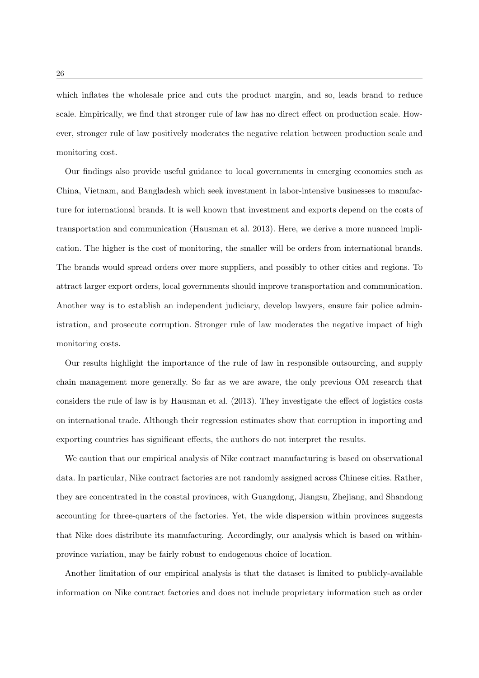which inflates the wholesale price and cuts the product margin, and so, leads brand to reduce scale. Empirically, we find that stronger rule of law has no direct effect on production scale. However, stronger rule of law positively moderates the negative relation between production scale and monitoring cost.

Our findings also provide useful guidance to local governments in emerging economies such as China, Vietnam, and Bangladesh which seek investment in labor-intensive businesses to manufacture for international brands. It is well known that investment and exports depend on the costs of transportation and communication (Hausman et al. 2013). Here, we derive a more nuanced implication. The higher is the cost of monitoring, the smaller will be orders from international brands. The brands would spread orders over more suppliers, and possibly to other cities and regions. To attract larger export orders, local governments should improve transportation and communication. Another way is to establish an independent judiciary, develop lawyers, ensure fair police administration, and prosecute corruption. Stronger rule of law moderates the negative impact of high monitoring costs.

Our results highlight the importance of the rule of law in responsible outsourcing, and supply chain management more generally. So far as we are aware, the only previous OM research that considers the rule of law is by Hausman et al. (2013). They investigate the effect of logistics costs on international trade. Although their regression estimates show that corruption in importing and exporting countries has significant effects, the authors do not interpret the results.

We caution that our empirical analysis of Nike contract manufacturing is based on observational data. In particular, Nike contract factories are not randomly assigned across Chinese cities. Rather, they are concentrated in the coastal provinces, with Guangdong, Jiangsu, Zhejiang, and Shandong accounting for three-quarters of the factories. Yet, the wide dispersion within provinces suggests that Nike does distribute its manufacturing. Accordingly, our analysis which is based on withinprovince variation, may be fairly robust to endogenous choice of location.

Another limitation of our empirical analysis is that the dataset is limited to publicly-available information on Nike contract factories and does not include proprietary information such as order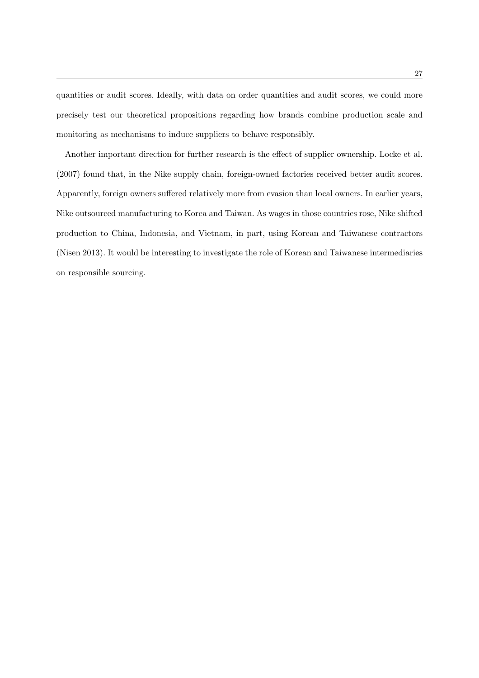quantities or audit scores. Ideally, with data on order quantities and audit scores, we could more precisely test our theoretical propositions regarding how brands combine production scale and monitoring as mechanisms to induce suppliers to behave responsibly.

Another important direction for further research is the effect of supplier ownership. Locke et al. (2007) found that, in the Nike supply chain, foreign-owned factories received better audit scores. Apparently, foreign owners suffered relatively more from evasion than local owners. In earlier years, Nike outsourced manufacturing to Korea and Taiwan. As wages in those countries rose, Nike shifted production to China, Indonesia, and Vietnam, in part, using Korean and Taiwanese contractors (Nisen 2013). It would be interesting to investigate the role of Korean and Taiwanese intermediaries on responsible sourcing.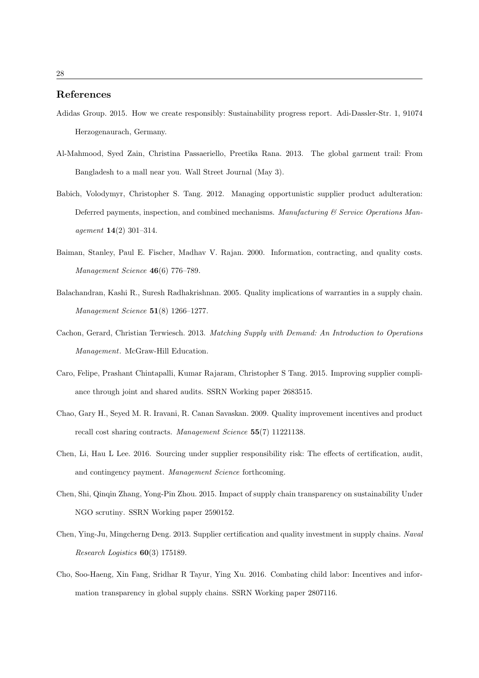# References

- Adidas Group. 2015. How we create responsibly: Sustainability progress report. Adi-Dassler-Str. 1, 91074 Herzogenaurach, Germany.
- Al-Mahmood, Syed Zain, Christina Passaeriello, Preetika Rana. 2013. The global garment trail: From Bangladesh to a mall near you. Wall Street Journal (May 3).
- Babich, Volodymyr, Christopher S. Tang. 2012. Managing opportunistic supplier product adulteration: Deferred payments, inspection, and combined mechanisms. *Manufacturing & Service Operations Management* 14(2) 301–314.
- Baiman, Stanley, Paul E. Fischer, Madhav V. Rajan. 2000. Information, contracting, and quality costs. *Management Science* 46(6) 776–789.
- Balachandran, Kashi R., Suresh Radhakrishnan. 2005. Quality implications of warranties in a supply chain. *Management Science* 51(8) 1266–1277.
- Cachon, Gerard, Christian Terwiesch. 2013. *Matching Supply with Demand: An Introduction to Operations Management*. McGraw-Hill Education.
- Caro, Felipe, Prashant Chintapalli, Kumar Rajaram, Christopher S Tang. 2015. Improving supplier compliance through joint and shared audits. SSRN Working paper 2683515.
- Chao, Gary H., Seyed M. R. Iravani, R. Canan Savaskan. 2009. Quality improvement incentives and product recall cost sharing contracts. *Management Science* 55(7) 11221138.
- Chen, Li, Hau L Lee. 2016. Sourcing under supplier responsibility risk: The effects of certification, audit, and contingency payment. *Management Science* forthcoming.
- Chen, Shi, Qinqin Zhang, Yong-Pin Zhou. 2015. Impact of supply chain transparency on sustainability Under NGO scrutiny. SSRN Working paper 2590152.
- Chen, Ying-Ju, Mingcherng Deng. 2013. Supplier certification and quality investment in supply chains. *Naval Research Logistics* 60(3) 175189.
- Cho, Soo-Haeng, Xin Fang, Sridhar R Tayur, Ying Xu. 2016. Combating child labor: Incentives and information transparency in global supply chains. SSRN Working paper 2807116.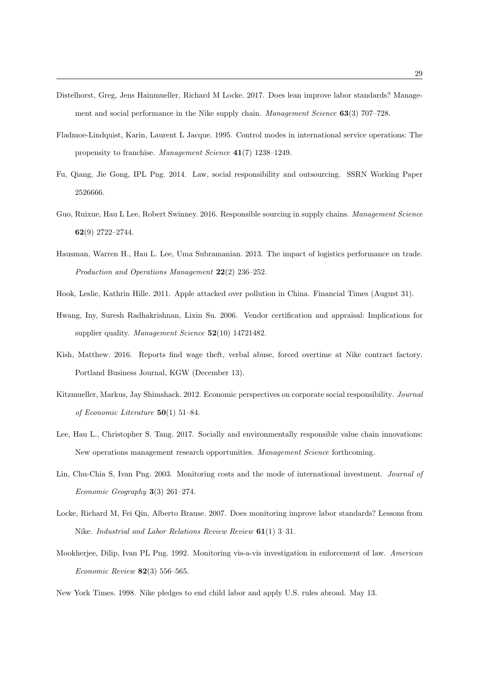- Distelhorst, Greg, Jens Hainmueller, Richard M Locke. 2017. Does lean improve labor standards? Management and social performance in the Nike supply chain. *Management Science* 63(3) 707–728.
- Fladmoe-Lindquist, Karin, Laurent L Jacque. 1995. Control modes in international service operations: The propensity to franchise. *Management Science* 41(7) 1238–1249.
- Fu, Qiang, Jie Gong, IPL Png. 2014. Law, social responsibility and outsourcing. SSRN Working Paper 2526666.
- Guo, Ruixue, Hau L Lee, Robert Swinney. 2016. Responsible sourcing in supply chains. *Management Science* 62(9) 2722–2744.
- Hausman, Warren H., Hau L. Lee, Uma Subramanian. 2013. The impact of logistics performance on trade. *Production and Operations Management* 22(2) 236–252.
- Hook, Leslie, Kathrin Hille. 2011. Apple attacked over pollution in China. Financial Times (August 31).
- Hwang, Iny, Suresh Radhakrishnan, Lixin Su. 2006. Vendor certification and appraisal: Implications for supplier quality. *Management Science* 52(10) 14721482.
- Kish, Matthew. 2016. Reports find wage theft, verbal abuse, forced overtime at Nike contract factory. Portland Business Journal, KGW (December 13).
- Kitzmueller, Markus, Jay Shimshack. 2012. Economic perspectives on corporate social responsibility. *Journal of Economic Literature* 50(1) 51–84.
- Lee, Hau L., Christopher S. Tang. 2017. Socially and environmentally responsible value chain innovations: New operations management research opportunities. *Management Science* forthcoming.
- Lin, Chu-Chia S, Ivan Png. 2003. Monitoring costs and the mode of international investment. *Journal of Economic Geography* 3(3) 261–274.
- Locke, Richard M, Fei Qin, Alberto Brause. 2007. Does monitoring improve labor standards? Lessons from Nike. *Industrial and Labor Relations Review Review* 61(1) 3–31.
- Mookherjee, Dilip, Ivan PL Png. 1992. Monitoring vis-a-vis investigation in enforcement of law. *American Economic Review* 82(3) 556–565.
- New York Times. 1998. Nike pledges to end child labor and apply U.S. rules abroad. May 13.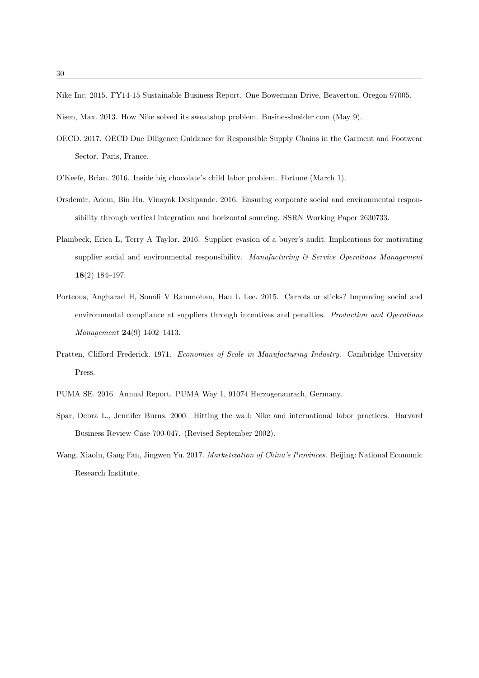Nike Inc. 2015. FY14-15 Sustainable Business Report. One Bowerman Drive, Beaverton, Oregon 97005.

- Nisen, Max. 2013. How Nike solved its sweatshop problem. BusinessInsider.com (May 9).
- OECD. 2017. OECD Due Diligence Guidance for Responsible Supply Chains in the Garment and Footwear Sector. Paris, France.
- O'Keefe, Brian. 2016. Inside big chocolate's child labor problem. Fortune (March 1).
- Orsdemir, Adem, Bin Hu, Vinayak Deshpande. 2016. Ensuring corporate social and environmental responsibility through vertical integration and horizontal sourcing. SSRN Working Paper 2630733.
- Plambeck, Erica L, Terry A Taylor. 2016. Supplier evasion of a buyer's audit: Implications for motivating supplier social and environmental responsibility. *Manufacturing & Service Operations Management* 18(2) 184–197.
- Porteous, Angharad H, Sonali V Rammohan, Hau L Lee. 2015. Carrots or sticks? Improving social and environmental compliance at suppliers through incentives and penalties. *Production and Operations Management* 24(9) 1402–1413.
- Pratten, Clifford Frederick. 1971. *Economies of Scale in Manufacturing Industry*. Cambridge University Press.
- PUMA SE. 2016. Annual Report. PUMA Way 1, 91074 Herzogenaurach, Germany.
- Spar, Debra L., Jennifer Burns. 2000. Hitting the wall: Nike and international labor practices. Harvard Business Review Case 700-047. (Revised September 2002).
- Wang, Xiaolu, Gang Fan, Jingwen Yu. 2017. *Marketization of China's Provinces*. Beijing: National Economic Research Institute.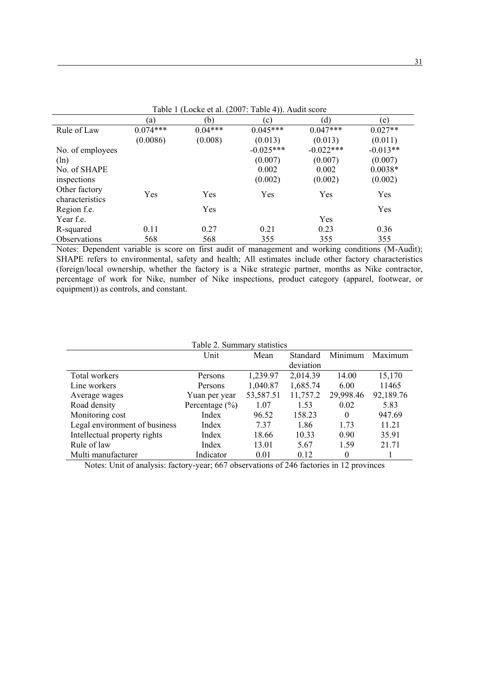| Table 1 (Locke et al. (2007: Table 4)). Audit score |            |            |             |             |            |
|-----------------------------------------------------|------------|------------|-------------|-------------|------------|
|                                                     | (a)        | (b)        | (c)         | (d)         | (e)        |
| Rule of Law                                         | $0.074***$ | $0.04***$  | $0.045***$  | $0.047***$  | $0.027**$  |
|                                                     | (0.0086)   | (0.008)    | (0.013)     | (0.013)     | (0.011)    |
| No. of employees                                    |            |            | $-0.025***$ | $-0.022***$ | $-0.013**$ |
| (ln)                                                |            |            | (0.007)     | (0.007)     | (0.007)    |
| No. of SHAPE                                        |            |            | 0.002       | 0.002       | $0.0038*$  |
| inspections                                         |            |            | (0.002)     | (0.002)     | (0.002)    |
| Other factory<br>characteristics                    | Yes        | Yes        | Yes         | Yes         | <b>Yes</b> |
| Region f.e.                                         |            | <b>Yes</b> |             |             | <b>Yes</b> |
| Year f.e.                                           |            |            |             | Yes         |            |
| R-squared                                           | 0.11       | 0.27       | 0.21        | 0.23        | 0.36       |
| Observations                                        | 568        | 568        | 355         | 355         | 355        |

Notes: Dependent variable is score on first audit of management and working conditions (M-Audit); SHAPE refers to environmental, safety and health; All estimates include other factory characteristics (foreign/local ownership, whether the factory is a Nike strategic partner, months as Nike contractor, percentage of work for Nike, number of Nike inspections, product category (apparel, footwear, or equipment)) as controls, and constant.

| Table 2. Summary statistics   |                    |           |           |           |           |
|-------------------------------|--------------------|-----------|-----------|-----------|-----------|
|                               | Unit               | Mean      | Standard  | Minimum   | Maximum   |
|                               |                    |           | deviation |           |           |
| Total workers                 | Persons            | 1,239.97  | 2,014.39  | 14.00     | 15,170    |
| Line workers                  | Persons            | 1,040.87  | 1,685.74  | 6.00      | 11465     |
| Average wages                 | Yuan per year      | 53,587.51 | 11,757.2  | 29,998.46 | 92,189.76 |
| Road density                  | Percentage $(\% )$ | 1.07      | 1.53      | 0.02      | 5.83      |
| Monitoring cost               | Index              | 96.52     | 158.23    | $\Omega$  | 947.69    |
| Legal environment of business | Index              | 7.37      | 1.86      | 1.73      | 11.21     |
| Intellectual property rights  | Index              | 18.66     | 10.33     | 0.90      | 35.91     |
| Rule of law                   | Index              | 13.01     | 5.67      | 1.59      | 21.71     |
| Multi manufacturer            | Indicator          | 0.01      | 0.12      | $\theta$  |           |

Notes: Unit of analysis: factory-year; 667 observations of 246 factories in 12 provinces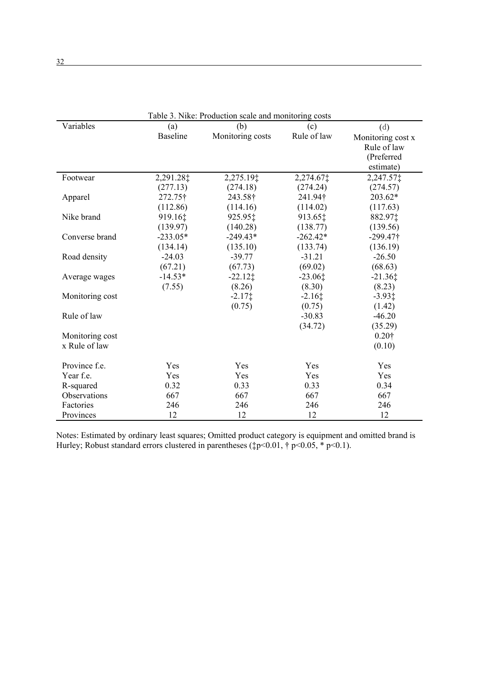| Table 3. Nike: Production scale and monitoring costs |                 |                    |                     |                     |  |
|------------------------------------------------------|-----------------|--------------------|---------------------|---------------------|--|
| Variables                                            | (a)             | (b)                | (c)                 | (d)                 |  |
|                                                      | <b>Baseline</b> | Monitoring costs   | Rule of law         | Monitoring cost x   |  |
|                                                      |                 |                    |                     | Rule of law         |  |
|                                                      |                 |                    |                     | (Preferred          |  |
|                                                      |                 |                    |                     | estimate)           |  |
| Footwear                                             | 2,291.28‡       | 2,275.19‡          | 2,274.67 $\ddagger$ | 2,247.57 $\ddagger$ |  |
|                                                      | (277.13)        | (274.18)           | (274.24)            | (274.57)            |  |
| Apparel                                              | 272.75†         | 243.58†            | 241.94†             | 203.62*             |  |
|                                                      | (112.86)        | (114.16)           | (114.02)            | (117.63)            |  |
| Nike brand                                           | 919.16t         | 925.95 ±           | 913.651             | 882.971             |  |
|                                                      | (139.97)        | (140.28)           | (138.77)            | (139.56)            |  |
| Converse brand                                       | $-233.05*$      | $-249.43*$         | $-262.42*$          | $-299.47$ †         |  |
|                                                      | (134.14)        | (135.10)           | (133.74)            | (136.19)            |  |
| Road density                                         | $-24.03$        | $-39.77$           | $-31.21$            | $-26.50$            |  |
|                                                      | (67.21)         | (67.73)            | (69.02)             | (68.63)             |  |
| Average wages                                        | $-14.53*$       | $-22.12$ $\dagger$ | $-23.061$           | $-21.36$ $\dagger$  |  |
|                                                      | (7.55)          | (8.26)             | (8.30)              | (8.23)              |  |
| Monitoring cost                                      |                 | $-2.17$ $\dagger$  | $-2.16$ $\ddagger$  | $-3.93$ $\ddagger$  |  |
|                                                      |                 | (0.75)             | (0.75)              | (1.42)              |  |
| Rule of law                                          |                 |                    | $-30.83$            | $-46.20$            |  |
|                                                      |                 |                    | (34.72)             | (35.29)             |  |
| Monitoring cost                                      |                 |                    |                     | $0.20\dagger$       |  |
| x Rule of law                                        |                 |                    |                     | (0.10)              |  |
| Province f.e.                                        | Yes             | Yes                | Yes                 | Yes                 |  |
| Year f.e.                                            | Yes             | Yes                | Yes                 | Yes                 |  |
| R-squared                                            | 0.32            | 0.33               | 0.33                | 0.34                |  |
| Observations                                         | 667             | 667                | 667                 | 667                 |  |
| Factories                                            | 246             | 246                | 246                 | 246                 |  |
| Provinces                                            | 12              | 12                 | 12                  | 12                  |  |

Notes: Estimated by ordinary least squares; Omitted product category is equipment and omitted brand is Hurley; Robust standard errors clustered in parentheses ( $\text{tp} < 0.01$ ,  $\uparrow$   $\uparrow < 0.05$ ,  $\uparrow$   $\uparrow < 0.1$ ).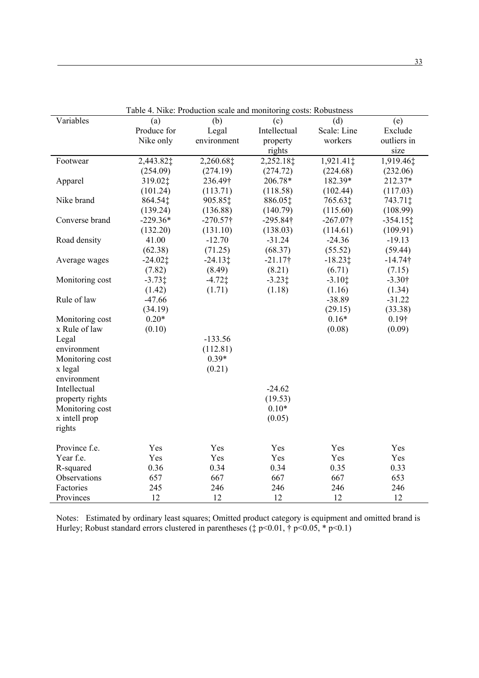|                 | Table 4. Nike: Production scale and monitoring costs: Robustness |                     |              |             |               |  |
|-----------------|------------------------------------------------------------------|---------------------|--------------|-------------|---------------|--|
| Variables       | (a)                                                              | (b)                 | (c)          | (d)         | (e)           |  |
|                 | Produce for                                                      | Legal               | Intellectual | Scale: Line | Exclude       |  |
|                 | Nike only                                                        | environment         | property     | workers     | outliers in   |  |
|                 |                                                                  |                     | rights       |             | size          |  |
| Footwear        | 2,443.82 $\ddagger$                                              | 2,260.68‡           | 2,252.18‡    | 1,921.41‡   | 1,919.46‡     |  |
|                 | (254.09)                                                         | (274.19)            | (274.72)     | (224.68)    | (232.06)      |  |
| Apparel         | 319.02‡                                                          | 236.49†             | 206.78*      | 182.39*     | 212.37*       |  |
|                 | (101.24)                                                         | (113.71)            | (118.58)     | (102.44)    | (117.03)      |  |
| Nike brand      | 864.541                                                          | 905.851             | 886.05‡      | 765.63‡     | 743.711       |  |
|                 | (139.24)                                                         | (136.88)            | (140.79)     | (115.60)    | (108.99)      |  |
| Converse brand  | $-229.36*$                                                       | $-270.57$ †         | $-295.84$ †  | $-267.07$ † | $-354.15$ :   |  |
|                 | (132.20)                                                         | (131.10)            | (138.03)     | (114.61)    | (109.91)      |  |
| Road density    | 41.00                                                            | $-12.70$            | $-31.24$     | $-24.36$    | $-19.13$      |  |
|                 | (62.38)                                                          | (71.25)             | (68.37)      | (55.52)     | (59.44)       |  |
| Average wages   | $-24.02$ ±                                                       | $-24.13$ $\ddagger$ | $-21.17$ †   | $-18.23$ ‡  | $-14.74$ †    |  |
|                 | (7.82)                                                           | (8.49)              | (8.21)       | (6.71)      | (7.15)        |  |
| Monitoring cost | $-3.73$ ‡                                                        | $-4.72$ $\ddagger$  | $-3.23$ ‡    | $-3.101$    | $-3.30†$      |  |
|                 | (1.42)                                                           | (1.71)              | (1.18)       | (1.16)      | (1.34)        |  |
| Rule of law     | $-47.66$                                                         |                     |              | $-38.89$    | $-31.22$      |  |
|                 | (34.19)                                                          |                     |              | (29.15)     | (33.38)       |  |
| Monitoring cost | $0.20*$                                                          |                     |              | $0.16*$     | $0.19\dagger$ |  |
| x Rule of law   | (0.10)                                                           |                     |              | (0.08)      | (0.09)        |  |
| Legal           |                                                                  | $-133.56$           |              |             |               |  |
| environment     |                                                                  | (112.81)            |              |             |               |  |
| Monitoring cost |                                                                  | $0.39*$             |              |             |               |  |
| x legal         |                                                                  | (0.21)              |              |             |               |  |
| environment     |                                                                  |                     |              |             |               |  |
| Intellectual    |                                                                  |                     | $-24.62$     |             |               |  |
| property rights |                                                                  |                     | (19.53)      |             |               |  |
| Monitoring cost |                                                                  |                     | $0.10*$      |             |               |  |
| x intell prop   |                                                                  |                     | (0.05)       |             |               |  |
| rights          |                                                                  |                     |              |             |               |  |
| Province f.e.   | Yes                                                              | Yes                 | Yes          | Yes         | Yes           |  |
| Year f.e.       | Yes                                                              | Yes                 | Yes          | Yes         | Yes           |  |
| R-squared       | 0.36                                                             | 0.34                | 0.34         | 0.35        | 0.33          |  |
| Observations    | 657                                                              | 667                 | 667          | 667         | 653           |  |
| Factories       | 245                                                              | 246                 | 246          | 246         | 246           |  |
| Provinces       | 12                                                               | 12                  | 12           | 12          | 12            |  |

| Table 4. Nike: Production scale and monitoring costs: Robustness |
|------------------------------------------------------------------|
|------------------------------------------------------------------|

Notes: Estimated by ordinary least squares; Omitted product category is equipment and omitted brand is Hurley; Robust standard errors clustered in parentheses ( $\uparrow$  p<0.01,  $\uparrow$  p<0.05,  $\uparrow$  p<0.1)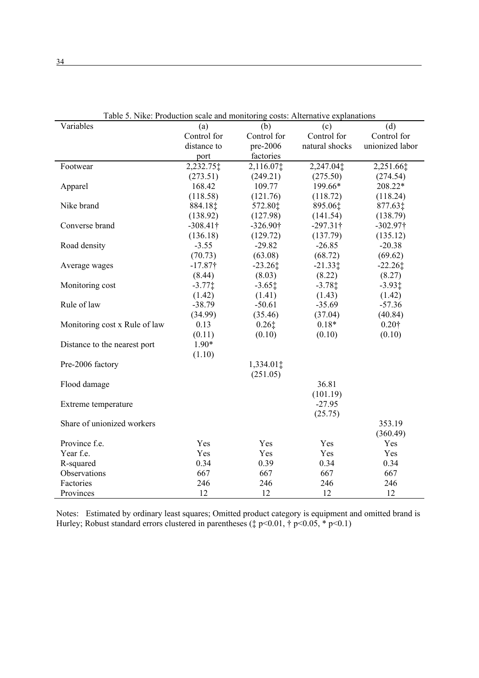| Table 5. Nike: Production scale and monitoring costs. Atternative explanations |                     |                                         |                     |                 |  |  |
|--------------------------------------------------------------------------------|---------------------|-----------------------------------------|---------------------|-----------------|--|--|
| Variables                                                                      | (a)                 | (b)                                     | (c)                 | (d)             |  |  |
|                                                                                | Control for         | Control for                             | Control for         | Control for     |  |  |
|                                                                                | distance to         | pre-2006                                | natural shocks      | unionized labor |  |  |
|                                                                                | port                | factories                               |                     |                 |  |  |
| Footwear                                                                       | 2,232.75 $\ddagger$ | 2,116.07 $\ddagger$                     | 2,247.04 $\ddagger$ | 2,251.66‡       |  |  |
|                                                                                | (273.51)            | (249.21)                                | (275.50)            | (274.54)        |  |  |
| Apparel                                                                        | 168.42              | 109.77                                  | 199.66*             | 208.22*         |  |  |
|                                                                                | (118.58)            | (121.76)                                | (118.72)            | (118.24)        |  |  |
| Nike brand                                                                     | 884.18‡             | 572.80‡                                 | 895.06‡             | 877.63‡         |  |  |
|                                                                                | (138.92)            | (127.98)                                | (141.54)            | (138.79)        |  |  |
| Converse brand                                                                 | $-308.41\dagger$    | $-326.90\dagger$                        | $-297.31\dagger$    | $-302.97$ †     |  |  |
|                                                                                | (136.18)            | (129.72)                                | (137.79)            | (135.12)        |  |  |
| Road density                                                                   | $-3.55$             | $-29.82$                                | $-26.85$            | $-20.38$        |  |  |
|                                                                                | (70.73)             | (63.08)                                 | (68.72)             | (69.62)         |  |  |
| Average wages                                                                  | $-17.87$ †          | $-23.26$ ‡                              | $-21.33$ ‡          | $-22.26$ ‡      |  |  |
|                                                                                | (8.44)              | (8.03)                                  | (8.22)              | (8.27)          |  |  |
| Monitoring cost                                                                | $-3.77$ t           | $-3.65$ <sup><math>\dagger</math></sup> | $-3.78$ ‡           | $-3.93$ ‡       |  |  |
|                                                                                | (1.42)              | (1.41)                                  | (1.43)              | (1.42)          |  |  |
| Rule of law                                                                    | $-38.79$            | $-50.61$                                | $-35.69$            | $-57.36$        |  |  |
|                                                                                | (34.99)             | (35.46)                                 | (37.04)             | (40.84)         |  |  |
| Monitoring cost x Rule of law                                                  | 0.13                | $0.26$ ‡                                | $0.18*$             | $0.20\dagger$   |  |  |
|                                                                                | (0.11)              | (0.10)                                  | (0.10)              | (0.10)          |  |  |
| Distance to the nearest port                                                   | $1.90*$             |                                         |                     |                 |  |  |
|                                                                                | (1.10)              |                                         |                     |                 |  |  |
| Pre-2006 factory                                                               |                     | 1,334.011                               |                     |                 |  |  |
|                                                                                |                     | (251.05)                                |                     |                 |  |  |
| Flood damage                                                                   |                     |                                         | 36.81               |                 |  |  |
|                                                                                |                     |                                         | (101.19)            |                 |  |  |
| Extreme temperature                                                            |                     |                                         | $-27.95$            |                 |  |  |
|                                                                                |                     |                                         | (25.75)             |                 |  |  |
| Share of unionized workers                                                     |                     |                                         |                     | 353.19          |  |  |
|                                                                                |                     |                                         |                     | (360.49)        |  |  |
| Province f.e.                                                                  | Yes                 | Yes                                     | Yes                 | Yes             |  |  |
| Year f.e.                                                                      | Yes                 | Yes                                     | Yes                 | Yes             |  |  |
| R-squared                                                                      | 0.34                | 0.39                                    | 0.34                | 0.34            |  |  |
| Observations                                                                   | 667                 | 667                                     | 667                 | 667             |  |  |
| Factories                                                                      | 246                 | 246                                     | 246                 | 246             |  |  |
| Provinces                                                                      | 12                  | 12                                      | 12                  | 12              |  |  |

Table 5. Nike: Production scale and monitoring costs: Alternative explanations

Notes: Estimated by ordinary least squares; Omitted product category is equipment and omitted brand is Hurley; Robust standard errors clustered in parentheses ( $\uparrow$  p<0.01,  $\uparrow$  p<0.05,  $\uparrow$  p<0.1)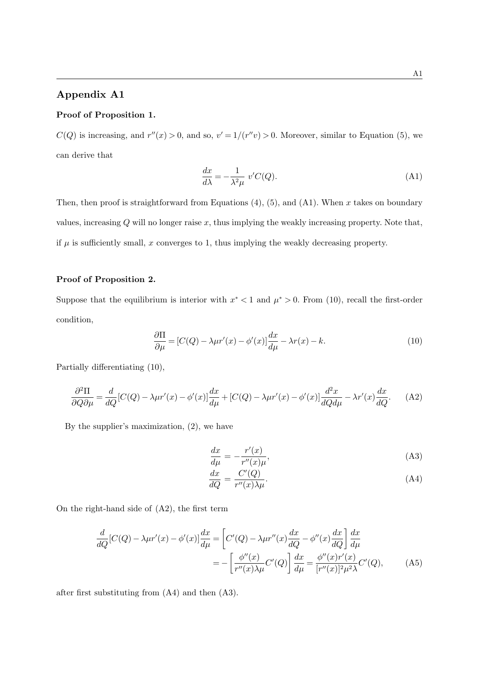# Appendix A1

#### Proof of Proposition 1.

 $C(Q)$  is increasing, and  $r''(x) > 0$ , and so,  $v' = 1/(r''v) > 0$ . Moreover, similar to Equation (5), we can derive that

$$
\frac{dx}{d\lambda} = -\frac{1}{\lambda^2 \mu} v'C(Q).
$$
\n(A1)

Then, then proof is straightforward from Equations  $(4)$ ,  $(5)$ , and  $(A1)$ . When *x* takes on boundary values, increasing *Q* will no longer raise *x*, thus implying the weakly increasing property. Note that, if  $\mu$  is sufficiently small,  $x$  converges to 1, thus implying the weakly decreasing property.

#### Proof of Proposition 2.

Suppose that the equilibrium is interior with  $x^*$  < 1 and  $\mu^*$  > 0. From (10), recall the first-order condition,

$$
\frac{\partial \Pi}{\partial \mu} = [C(Q) - \lambda \mu r'(x) - \phi'(x)]\frac{dx}{d\mu} - \lambda r(x) - k.
$$
\n(10)

Partially differentiating  $(10)$ ,

$$
\frac{\partial^2 \Pi}{\partial Q \partial \mu} = \frac{d}{dQ} [C(Q) - \lambda \mu r'(x) - \phi'(x)] \frac{dx}{d\mu} + [C(Q) - \lambda \mu r'(x) - \phi'(x)] \frac{d^2 x}{dQ d\mu} - \lambda r'(x) \frac{dx}{dQ}.
$$
 (A2)

By the supplier's maximization, (2), we have

$$
\frac{dx}{d\mu} = -\frac{r'(x)}{r''(x)\mu},\tag{A3}
$$

$$
\frac{dx}{dQ} = \frac{C'(Q)}{r''(x)\lambda\mu}.\tag{A4}
$$

On the right-hand side of (A2), the first term

$$
\frac{d}{dQ}[C(Q) - \lambda\mu r'(x) - \phi'(x)]\frac{dx}{d\mu} = \left[C'(Q) - \lambda\mu r''(x)\frac{dx}{dQ} - \phi''(x)\frac{dx}{dQ}\right]\frac{dx}{d\mu}
$$

$$
= -\left[\frac{\phi''(x)}{r''(x)\lambda\mu}C'(Q)\right]\frac{dx}{d\mu} = \frac{\phi''(x)r'(x)}{[r''(x)]^2\mu^2\lambda}C'(Q),\tag{A5}
$$

after first substituting from (A4) and then (A3).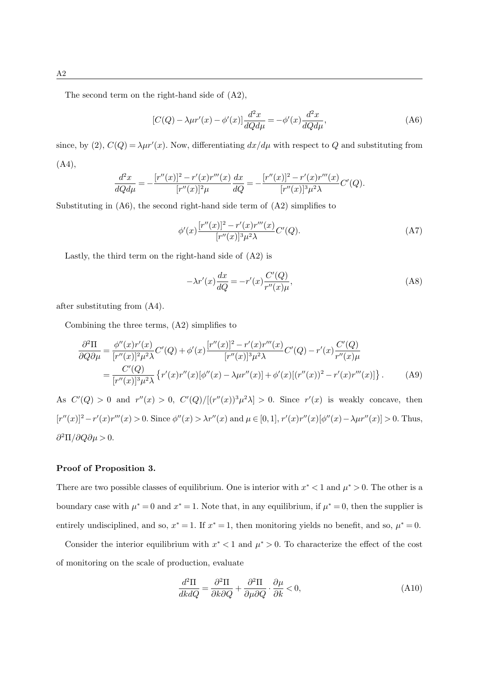The second term on the right-hand side of (A2),

$$
[C(Q) - \lambda \mu r'(x) - \phi'(x)]\frac{d^2x}{dQd\mu} = -\phi'(x)\frac{d^2x}{dQd\mu},\tag{A6}
$$

since, by  $(2)$ ,  $C(Q) = \lambda \mu r'(x)$ . Now, differentiating  $dx/d\mu$  with respect to *Q* and substituting from (A4),

$$
\frac{d^2x}{dQd\mu} = -\frac{[r''(x)]^2 - r'(x)r'''(x)}{[r''(x)]^2\mu} \frac{dx}{dQ} = -\frac{[r''(x)]^2 - r'(x)r'''(x)}{[r''(x)]^3\mu^2\lambda} C'(Q).
$$

Substituting in  $(A6)$ , the second right-hand side term of  $(A2)$  simplifies to

$$
\phi'(x)\frac{[r''(x)]^2 - r'(x)r'''(x)}{[r''(x)]^3\mu^2\lambda}C'(Q).
$$
\n(A7)

Lastly, the third term on the right-hand side of (A2) is

$$
-\lambda r'(x)\frac{dx}{dQ} = -r'(x)\frac{C'(Q)}{r''(x)\mu},\tag{A8}
$$

after substituting from (A4).

Combining the three terms, (A2) simplifies to

$$
\frac{\partial^2 \Pi}{\partial Q \partial \mu} = \frac{\phi''(x)r'(x)}{[r''(x)]^2 \mu^2 \lambda} C'(Q) + \phi'(x) \frac{[r''(x)]^2 - r'(x)r'''(x)}{[r''(x)]^3 \mu^2 \lambda} C'(Q) - r'(x) \frac{C'(Q)}{r''(x)\mu}
$$

$$
= \frac{C'(Q)}{[r''(x)]^3 \mu^2 \lambda} \left\{ r'(x)r''(x)[\phi''(x) - \lambda\mu r''(x)] + \phi'(x)[(r''(x))^2 - r'(x)r'''(x)] \right\}.
$$
 (A9)

As  $C'(Q) > 0$  and  $r''(x) > 0$ ,  $C'(Q)/[(r''(x))^3\mu^2\lambda] > 0$ . Since  $r'(x)$  is weakly concave, then  $[r''(x)]^2 - r'(x)r'''(x) > 0$ . Since  $\phi''(x) > \lambda r''(x)$  and  $\mu \in [0,1], r'(x)r''(x)[\phi''(x) - \lambda \mu r''(x)] > 0$ . Thus,  $\partial^2\Pi/\partial Q\partial\mu > 0.$ 

#### Proof of Proposition 3.

There are two possible classes of equilibrium. One is interior with  $x^*$  < 1 and  $\mu^*$  > 0. The other is a boundary case with  $\mu^* = 0$  and  $x^* = 1$ . Note that, in any equilibrium, if  $\mu^* = 0$ , then the supplier is entirely undisciplined, and so,  $x^* = 1$ . If  $x^* = 1$ , then monitoring yields no benefit, and so,  $\mu^* = 0$ .

Consider the interior equilibrium with  $x^*$  < 1 and  $\mu^*$  > 0. To characterize the effect of the cost of monitoring on the scale of production, evaluate

$$
\frac{d^2\Pi}{dkdQ} = \frac{\partial^2\Pi}{\partial k\partial Q} + \frac{\partial^2\Pi}{\partial \mu \partial Q} \cdot \frac{\partial \mu}{\partial k} < 0,\tag{A10}
$$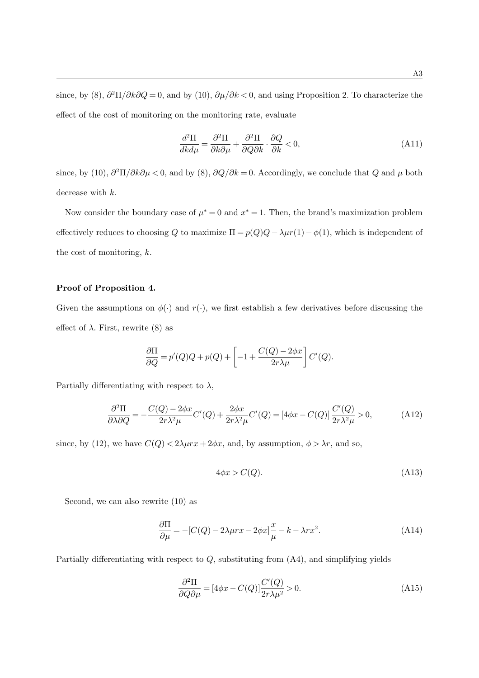since, by (8),  $\frac{\partial^2 \Pi}{\partial k \partial Q} = 0$ , and by (10),  $\frac{\partial \mu}{\partial k} < 0$ , and using Proposition 2. To characterize the effect of the cost of monitoring on the monitoring rate, evaluate

$$
\frac{d^2\Pi}{dkd\mu} = \frac{\partial^2\Pi}{\partial k\partial\mu} + \frac{\partial^2\Pi}{\partial Q\partial k} \cdot \frac{\partial Q}{\partial k} < 0,\tag{A11}
$$

since, by (10),  $\partial^2 \Pi / \partial k \partial \mu < 0$ , and by (8),  $\partial Q / \partial k = 0$ . Accordingly, we conclude that *Q* and  $\mu$  both decrease with *k*.

Now consider the boundary case of  $\mu^* = 0$  and  $x^* = 1$ . Then, the brand's maximization problem effectively reduces to choosing *Q* to maximize  $\Pi = p(Q)Q - \lambda \mu r(1) - \phi(1)$ , which is independent of the cost of monitoring, *k*.

#### Proof of Proposition 4.

Given the assumptions on  $\phi(\cdot)$  and  $r(\cdot)$ , we first establish a few derivatives before discussing the effect of  $\lambda$ . First, rewrite (8) as

$$
\frac{\partial \Pi}{\partial Q} = p'(Q)Q + p(Q) + \left[ -1 + \frac{C(Q) - 2\phi x}{2r\lambda\mu} \right] C'(Q).
$$

Partially differentiating with respect to  $\lambda$ ,

$$
\frac{\partial^2 \Pi}{\partial \lambda \partial Q} = -\frac{C(Q) - 2\phi x}{2r\lambda^2 \mu} C'(Q) + \frac{2\phi x}{2r\lambda^2 \mu} C'(Q) = [4\phi x - C(Q)] \frac{C'(Q)}{2r\lambda^2 \mu} > 0,
$$
\n(A12)

since, by (12), we have  $C(Q) < 2\lambda \mu rx + 2\phi x$ , and, by assumption,  $\phi > \lambda r$ , and so,

$$
4\phi x > C(Q). \tag{A13}
$$

Second, we can also rewrite (10) as

$$
\frac{\partial \Pi}{\partial \mu} = -[C(Q) - 2\lambda \mu rx - 2\phi x] \frac{x}{\mu} - k - \lambda rx^2.
$$
 (A14)

Partially differentiating with respect to  $Q$ , substituting from  $(A4)$ , and simplifying yields

$$
\frac{\partial^2 \Pi}{\partial Q \partial \mu} = [4\phi x - C(Q)] \frac{C'(Q)}{2r\lambda \mu^2} > 0.
$$
\n(A15)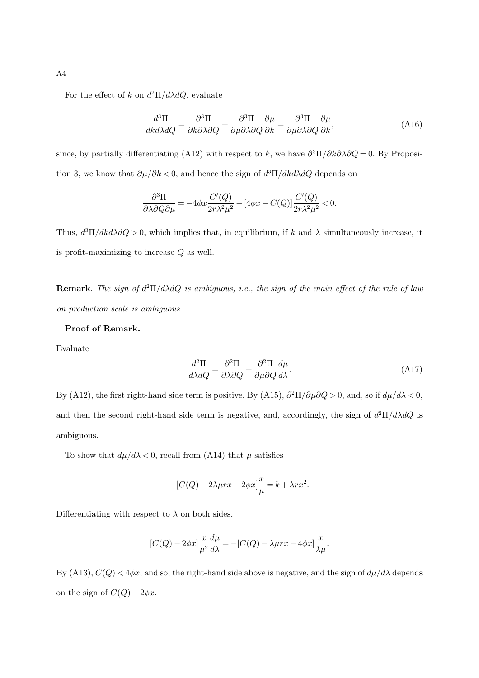For the effect of *k* on  $d^2\Pi/d\lambda dQ$ , evaluate

$$
\frac{d^3\Pi}{dkd\lambda dQ} = \frac{\partial^3 \Pi}{\partial k \partial \lambda \partial Q} + \frac{\partial^3 \Pi}{\partial \mu \partial \lambda \partial Q} \frac{\partial \mu}{\partial k} = \frac{\partial^3 \Pi}{\partial \mu \partial \lambda \partial Q} \frac{\partial \mu}{\partial k},\tag{A16}
$$

since, by partially differentiating (A12) with respect to *k*, we have  $\partial^3\Pi/\partial k\partial\lambda\partial Q=0$ . By Proposition 3, we know that  $\partial \mu / \partial k < 0$ , and hence the sign of  $d^3\Pi / dk d\lambda dQ$  depends on

$$
\frac{\partial^3 \Pi}{\partial \lambda \partial Q \partial \mu} = -4\phi x \frac{C'(Q)}{2r\lambda^2\mu^2} - \left[4\phi x - C(Q)\right] \frac{C'(Q)}{2r\lambda^2\mu^2} < 0.
$$

Thus,  $d^3\Pi/dkd\lambda dQ > 0$ , which implies that, in equilibrium, if k and  $\lambda$  simultaneously increase, it is profit-maximizing to increase *Q* as well.

**Remark**. The sign of  $d^2\Pi/d\lambda dQ$  is ambiguous, i.e., the sign of the main effect of the rule of law *on production scale is ambiguous.*

#### Proof of Remark.

Evaluate

$$
\frac{d^2\Pi}{d\lambda dQ} = \frac{\partial^2 \Pi}{\partial \lambda \partial Q} + \frac{\partial^2 \Pi}{\partial \mu \partial Q} \frac{d\mu}{d\lambda}.
$$
 (A17)

By (A12), the first right-hand side term is positive. By (A15),  $\partial^2 \Pi / \partial \mu \partial Q > 0$ , and, so if  $d\mu / d\lambda < 0$ , and then the second right-hand side term is negative, and, accordingly, the sign of  $d^2\Pi/d\lambda dQ$  is ambiguous.

To show that  $d\mu/d\lambda < 0$ , recall from (A14) that  $\mu$  satisfies

$$
-[C(Q) - 2\lambda \mu rx - 2\phi x] \frac{x}{\mu} = k + \lambda rx^{2}.
$$

Differentiating with respect to  $\lambda$  on both sides,

$$
[C(Q) - 2\phi x] \frac{x}{\mu^2} \frac{d\mu}{d\lambda} = -[C(Q) - \lambda \mu rx - 4\phi x] \frac{x}{\lambda \mu}.
$$

By (A13),  $C(Q) < 4\phi x$ , and so, the right-hand side above is negative, and the sign of  $d\mu/d\lambda$  depends on the sign of  $C(Q) - 2\phi x$ .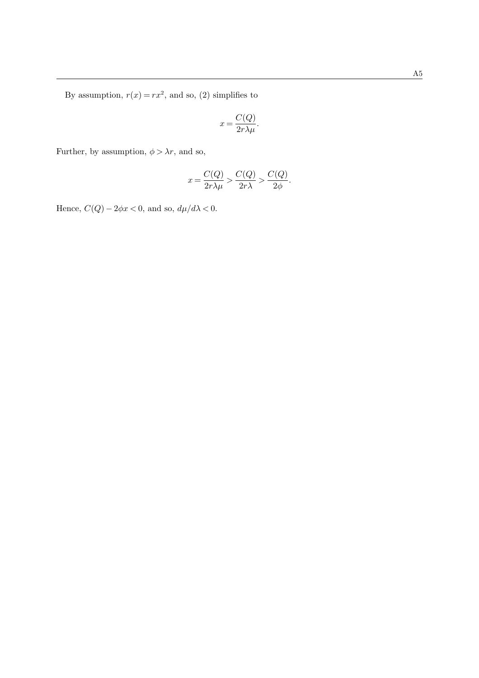$$
x = \frac{C(Q)}{2r\lambda\mu}.
$$

Further, by assumption,  $\phi > \lambda r$ , and so,

$$
x = \frac{C(Q)}{2r\lambda\mu} > \frac{C(Q)}{2r\lambda} > \frac{C(Q)}{2\phi}.
$$

Hence,  $C(Q) - 2\phi x < 0$ , and so,  $d\mu/d\lambda < 0$ .